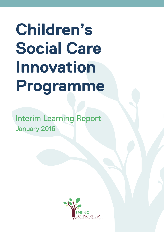# **Children's Social Care Innovation Programme**

Interim Learning Report January 2016

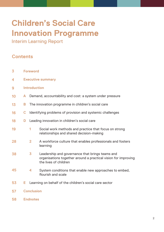## **Children's Social Care Innovation Programme**

Interim Learning Report

### **Contents**

| $\overline{\mathbf{3}}$ | <b>Foreword</b>          |                                                           |                                                                                                                                            |
|-------------------------|--------------------------|-----------------------------------------------------------|--------------------------------------------------------------------------------------------------------------------------------------------|
| 4                       | <b>Executive summary</b> |                                                           |                                                                                                                                            |
| 9                       | <b>Introduction</b>      |                                                           |                                                                                                                                            |
| 10                      | A                        | Demand, accountability and cost: a system under pressure  |                                                                                                                                            |
| 13                      | B                        | The innovation programme in children's social care        |                                                                                                                                            |
| 16                      | C                        | Identifying problems of provision and systemic challenges |                                                                                                                                            |
| 18                      | D                        | Leading innovation in children's social care              |                                                                                                                                            |
| 19                      |                          | 1                                                         | Social work methods and practice that focus on strong<br>relationships and shared decision-making                                          |
| 28                      |                          | $\overline{2}$                                            | A workforce culture that enables professionals and fosters<br>learning                                                                     |
| 38                      |                          | $\overline{\mathbf{3}}$                                   | Leadership and governance that brings teams and<br>organisations together around a practical vision for improving<br>the lives of children |
| 45                      |                          | $\blacktriangleleft$                                      | System conditions that enable new approaches to embed,<br>flourish and scale                                                               |
| 53                      | Е                        |                                                           | Learning on behalf of the children's social care sector                                                                                    |
| 57                      | <b>Conclusion</b>        |                                                           |                                                                                                                                            |

**Endnotes 58**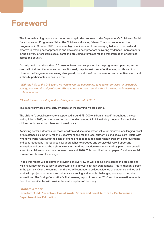

This interim learning report is an important step in the progress of the Department's Children's Social Care Innovation Programme. When the Children's Minister, Edward Timpson, announced the Programme in October 2013, there were high ambitions for it: encouraging bidders to be bold and creative in testing new approaches and developing new practice: delivering evidenced improvements in the delivery of children's social care; and providing a template for the transformation of services across the country.

I'm delighted that, since then, 53 projects have been supported by the programme operating across over half of all top tier local authorities. It is early days to test their effectiveness, but those of us close to the Programme are seeing strong early indicators of both innovation and effectiveness. Local authority participants are positive too:

*"With the help of the DfE team, we were given the opportunity to redesign services for vulnerable young people on the edge of care. We have transformed a service that is now not only inspiring but truly innovative."* 

### *"One of the most exciting and bold things to come out of DfE."*

This report provides some early evidence of the learning we are seeing.

The children's social care system supported around 781,700 children 'in need' throughout the year ending March 2015, with local authorities spending around £7 billion during the year. This includes children with protection plans and those in care.

Achieving better outcomes for those children and securing better value for money in challenging fiscal circumstances is a priority for the Department and for the local authorities and social care Trusts with whom we work. Achieving the scale of change needed requires more than incremental improvements and cost reductions – it requires new approaches to practice and service delivery. Supporting innovation and creating the right environment to drive practice excellence is a key part of our overall vision for children's social care between now and 2020. This is outlined in our paper 'Children's social care reform: A vision for change'1 .

I hope this report will be useful in providing an overview of work being done across the projects and will encourage others to look at opportunities to innovate in their own context. This is, though, a point in the journey. Over the coming months we will continue to collect evidence of outcomes and we will work with projects to understand what is succeeding and what is challenging and supporting their innovations. The Spring Consortium's final learning report in summer 2016 and the evaluation reports from the Rees Centre will provide the next chapters of the story.

### **Graham Archer**

**Director: Child Protection, Social Work Reform and Local Authority Performance Department for Education**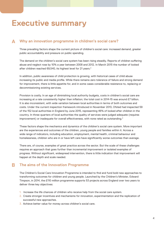## **Executive summary**

#### **Why an innovation programme in children's social care? A**

Three prevailing factors shape the current picture of children's social care: increased demand, greater public accountability and pressure on public spending.

The demand on the children's social care system has been rising steadily. Reports of children suffering abuse and neglect rose by 10% a year between 2008 and 2012. In March 2015 the number of looked after children reached 69,540, its highest level for 21 years.<sup>2</sup>

In addition, public awareness of child protection is growing, with historical cases of child abuse increasing its public and media profile. While there remains zero tolerance of failure and strong demand for improvement, there is little appetite for, and in some cases considerable resistance to, replacing or decommissioning existing services.

Provision is costly. In an age of diminishing local authority budgets, costs in children's social care are increasing at a rate consistently higher than inflation; the total cost in 2014-15 was around £7 billion. It is also inconsistent, with wide variation between local authorities in terms of both outcomes and costs. Under the current inspection framework introduced in November 2013, Ofsted had inspected 59 of the 152 local authorities in England by June 2015, representing 46% of looked after children in the country. In three-quarters of local authorities the quality of services were judged adequate (requires improvement) or inadequate for overall effectiveness, with none rated as outstanding.<sup>3</sup>

These factors shape the mechanics and dynamics of the children's social care system. More important are the experiences and outcomes of the children, young people and families within it. Across a wide range of indicators, including education, employment, mental health, criminal behaviour and homelessness, children who are in or have left care have significantly worse outcomes than average.

There are, of course, examples of great practice across the sector. But the scale of these challenges requires an approach that goes further than incremental improvement or isolated examples of progress. Without significant, widespread intervention, there is little indication that improvement will happen at the depth and scale needed.

#### **The aims of the Innovation Programme B**

The Children's Social Care Innovation Programme is intended to find and fund bold new approaches to transforming outcomes for children and young people. Launched by the Children's Minister, Edward Timpson, in 2014, the £110 million programme supports 53 projects across England over two years to deliver three key objectives:

- 1. Increase the life chances of children who receive help from the social care system.
- 2. Create stronger incentives and mechanisms for innovation, experimentation and the replication of successful new approaches.
- 3. Achieve better value for money across children's social care.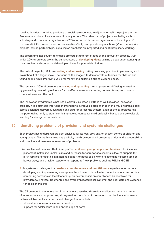Local authorities, the prime providers of social care services, lead just over half the projects in the Programme and are closely involved in many others. The other half of projects are led by a mix of voluntary and community organisations (23%); other public sector organisations, including NHS trusts and CCGs, police forces and universities (15%); and private organisations (7%). The majority of projects include partnerships, signalling an emphasis on integrated and multidisciplinary working.

The programme has sought to engage projects at different stages of the innovation process. Just under 20% of projects are in the earliest stage of **developing ideas**: gaining a deep understanding of their problem and context and developing ideas for potential solutions.

The bulk of projects, 60%, are **testing and improving**: taking promising practice, implementing and evaluating it at a larger scale. The focus of this stage is to demonstrate outcomes for children and young people while improving value for money and building a strong evidence base.

The remaining 20% of projects are **scaling and spreading** their approaches: diffusing innovation by generating compelling evidence for its effectiveness and creating demand from practitioners, commissioners and the public.

The Innovation Programme is not just a carefully selected portfolio of well designed innovation projects. It is a strategic intervention intended to introduce a step change in the way children's social care is designed, delivered, evaluated and paid for across the system. Each of the 53 projects has the potential not only to significantly improve outcomes for children locally, but to generate valuable learning for the system as a whole.

#### **Identifying problems of provision and systemic challenges C**

Each project has undertaken problem analyses for its local area and/or chosen cohort of children and young people. Taking this analysis as a whole, the three combined pressures of demand, accountability and combine and manifest as two sets of problems:

- 1. As problems of provision that directly affect **children, young people and families**. This includes placement instability; unclear aims and purposes for care for adolescents; a lack of support for birth families; difficulties in matching support to need; social workers spending valuable time on bureaucracy; and a lack of capacity to respond to 'new' problems such as FGM and CSE.
- 2. As systemic challenges that **leaders, commissioners and practitioners** experience as barriers to developing and implementing new approaches. These include limited capacity in local authorities; competing demands on local leadership; an overemphasis on compliance; disincentives for providers to innovate; fragmented and overcomplicated local systems; and poor data and evidence for decision making.

The 53 projects in the Innovation Programme are tackling these dual challenges through a range of interventions and approaches, all targeted at the points of the system that the innovation teams believe will best unlock capacity and change. These include:

- alternative models of social work practice;
- support for adolescents in and on the edge of care;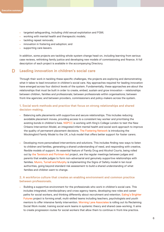- targeted safeguarding, including child sexual exploitation and FGM;
- working with mental health and therapeutic models;
- tackling repeat removals;
- innovation in fostering and adoption; and
- supporting care leavers.

In addition, some projects are tackling whole-system change head-on, including learning from serious case reviews, rethinking family justice and developing new models of commissioning and finance. A full description of each project is available in the accompanying Directory.

#### **Leading innovation in children's social care D**

Through their work in tackling these specific challenges, the projects are exploring and demonstrating what it takes to lead innovation in children's social care. Key approaches required for leading innovation have emerged across four distinct levels of the system. Fundamentally, these approaches are about the relationships that must be built in order to create, embed, sustain and grow innovation – relationships between children, families and professionals; between professionals within organisations; between front-line agencies; and between providers, commissioners and policy-makers across the system.

### **1. Social work methods and practice that focus on strong relationships and shared decision-making.**

- Balancing safe placements with supportive and secure relationships. This includes reducing avoidable placement moves, providing access to a consistent key worker and prioritising the existing bonds in children's lives. NSPCC is working with King's College London to test the New Orleans Intervention Model, an integrated infant mental health and social work approach to improve the quality of permanent placement decisions. The Fostering Network is introducing the Mockingbird Family Model to the UK, a hub model that offers better support for foster carers.
- Developing more personalised interventions and solutions. This includes finding new ways to listen to children and families, generating a shared understanding of need, and responding with creative, flexible models of support. An essential feature of Family Drug and Alcohol Courts, being rolled out by the Tavistock and Portman-led project, are the regular meetings between judges and parents that enable judges to form non-adversarial and genuinely supportive relationships with families. Munro, Turnell and Murphy is implementing the Signs of Safety model in ten local authorities, going beyond standard risk assessment to build a shared understanding of what families and children want to change.

### **2. A workforce culture that creates an enabling environment and common practice between professionals.**

**•** Building a supportive environment for the professionals who work in children's social care. This includes integrated, interdisciplinary and cross-agency teams, developing new roles and career paths for social workers, and thinking differently about recruitment and retention. Ealing's Brighter Futures project is forming small, multi-skilled teams including teachers, psychologists and youth mentors to offer intensive family intervention. Morning Lane Associates is rolling out its Reclaiming Social Work model, training social work teams in systemic theory and shared case-working. It aims to create progression routes for social workers that allow them to continue in front-line practice.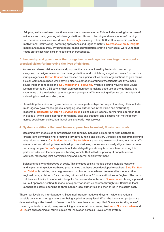**•** Adopting evidence-based practice across the whole workforce. This includes making better use of evidence and data, growing whole-organisation cultures of learning and new models of training for the wider social care workforce. Tri-Borough is aiming to train 600 staff in systemic practice, motivational interviewing, parenting approaches and Signs of Safety. Newcastle's Family Insights model cuts bureaucracy by using needs-based segmentation, creating new social work units that focus on families with similar needs and characteristics.

### **3. Leadership and governance that brings teams and organisations together around a practical vision for improving the lives of children.**

- A clear and shared vision, values and purpose that is championed by leaders but owned by everyone; that aligns values across the organisation; and which brings together teams from across multiple agencies. Sefton Council has focused on aligning values across organisations to give teams a clear, common purpose while setting clear expectations around professionals' ability to make sound independent decisions. St Christopher's Fellowship, which is piloting ways to keep young women affected by CSE safe in their own communities, is making good use of the authority and experience of its leadership team to support younger staff in managing effective partnerships and delivering innovation on the ground.
- Translating the vision into governance, structures, partnerships and ways of working. This includes multi-agency governance groups; engaging local authorities in the vision and distributing leadership. Doncaster Children's Services Trust is using a multi-agency partnership approach that includes a 'whole place' approach to training, data and budgets, and a shared risk methodology across social care, police, health, schools and early help services.

### **4. System conditions that enable new approaches to embed, flourish and scale.**

- Designing new models of commissioning and funding, including collaborating with partners to enable joint commissioning, creating alternative funding and delivery vehicles; and decommissioning what does not work. Cambridgeshire and Staffordshire are working towards spinning out into staffowned mutuals, allowing them to develop commissioning models more closely aligned to outcomes for young people. Torbay's approach includes delegating statutory functions to an existing third party provider and launching a new funding vehicle that will allow pooling of budgets across services, facilitating joint commissioning and external social investment.
- Balancing fidelity and practice at scale. This includes scaling models across multiple locations, and implementing evidence-based programmes that have been developed elsewhere. Safe Families for Children is building on an eighteen month pilot in the north east to extend its model to five regional hubs, a platform for expanding into an additional 25 local authorities in England. The hubs will balance fidelity to model with bespoke features and adaptations. Cornerstone is taking a phased roll-out approach, testing its model of support for adoptive parents through four Berkshire local authorities before extending to three London local authorities and then three in the south east.

These four levels are interdependent. Sustained, transformative and system-wide innovation is possible only when the right levers are being applied at every level. What the innovation projects are demonstrating is the breadth of ways in which these levers can be pulled. Some are tackling one of these ingredients in detail; many are tackling a number at once; some, like Leeds, North Yorkshire and MTM, are approaching all four in a push for innovation across all levels of the system.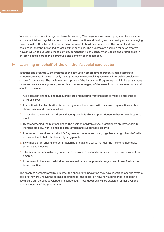Working across these four system levels is not easy. The projects are coming up against barriers that include judicial and regulatory restrictions to new practice and funding models; taking on and managing financial risk; difficulties in the recruitment required to build new teams; and the cultural and practical challenges inherent in working across partner agencies. The projects are finding a range of creative ways in which to overcome these barriers, demonstrating the capacity of leaders and practitioners in children's social care to make profound and complex change happen.

#### **Learning on behalf of the children's social care sector E**

Together and separately, the projects of the innovation programme represent a bold attempt to demonstrate what it takes to really make progress towards solving seemingly intractable problems in children's social care. The implementation phase of the Innovation Programme is still in its early stages. However, we are already seeing some clear themes emerging of the areas in which progress can – and should – be made:

- 1. Collaboration and reducing bureaucracy are empowering frontline staff to make a difference to children's lives.
- 2. Innovation in local authorities is occurring where there are coalitions across organisations with a shared vision and common values.
- 3. Co-producing care with children and young people is allowing practitioners to better match care to need.
- 4. By strengthening the relationships at the heart of children's lives, practitioners are better able to increase stability, work alongside birth families and support adolescents.
- 5. Integration of services can simplify fragmented systems and bring together the right blend of skills and expertise to help children and young people.
- 6. New models for funding and commissioning are giving local authorities the means to incentivise providers to innovate.
- 7. The system is demonstrating capacity to innovate to respond creatively to 'new' problems as they emerge.
- 8. Investment in innovation with rigorous evaluation has the potential to grow a culture of evidence based practice.

The progress demonstrated by projects, the enablers to innovation they have identified and the system barriers they are uncovering all raise questions for the sector on how new approaches in children's social care can be best developed and supported. These questions will be explored further over the next six months of the programme.**<sup>4</sup>**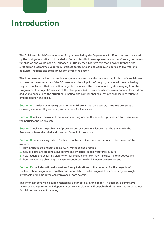## **Introduction**

The Children's Social Care Innovation Programme, led by the Department for Education and delivered by the Spring Consortium, is intended to find and fund bold new approaches to transforming outcomes for children and young people. Launched in 2014 by the Children's Minister, Edward Timpson, the £110 million programme supports 53 projects across England to work over a period of two years to stimulate, incubate and scale innovation across the sector.

This interim report is intended for leaders, managers and practitioners working in children's social care. It draws on the experience of the 53 projects at the midpoint of the programme, with teams having begun to implement their innovation projects. Its focus is the operational insights emerging from the Programme; the projects' analysis of the change needed to dramatically improve outcomes for children and young people; and the structural, practical and cultural changes that are enabling innovation to embed, flourish and scale.

**Section A** provides some background to the children's social care sector; three key pressures of demand, accountability and cost; and the case for innovation.

**Section B** looks at the aims of the Innovation Programme, the selection process and an overview of the participating 53 projects.

**Section C** looks at the problems of provision and systemic challenges that the projects in the Programme have identified and the specific foci of their work.

**Section D** provides insights into fresh approaches and ideas across the four distinct levels of the system:

- 1. how projects are changing social work methods and practice;
- 2. how projects are creating a supportive and evidence-based workforce culture;
- 3. how leaders are building a clear vision for change and how they translate it into practice; and
- 4. how projects are changing the system conditions in which innovation can succeed.

**Section E** concludes with a discussion of early indications of the potential for the projects of the Innovation Programme, together and separately, to make progress towards solving seemingly intractable problems in the children's social care system.

This interim report will be supplemented at a later date by a final report. In addition, a summative report of findings from the independent external evaluation will be published that centres on outcomes for children and value for money.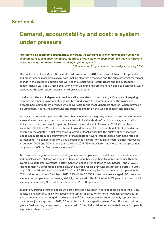### **Section A**

## **Demand, accountability and cost: a system under pressure**

*"Unless we do something substantially different, we will have to either restrict the number of children served, or reduce the quality/quantity of care given to each child. We have to innovate at scale – to get more and better service per pound spent."5*

DfE Innovation Programme problem analysis, January 2014

The publication of the Munro Review of Child Protection in 2011 acted as a call to arms for providers and practitioners in children's social care, making clear both the need and the huge potential for radical change in the sector. In addition, the work of the Social Work Reform Board and the subsequent appointment in 2013 of a Chief Social Worker for Children and Families have helped to push social work practice to the forefront of reform in children's social care.

Local authorities and independent providers alike have risen to the challenge. Examples of inspiring practice and ambitious system change can be found across the sector, driven by the values and extraordinary commitment of those who deliver care to the most vulnerable children. Where provision is outstanding, it is having a profound and sustained impact on the lives of children and families.

However, there has not yet been the step change needed in the quality of care and resulting outcomes across the sector as a whole<sup>6</sup>, with wide variation in local authorities' performance against quality indicators. Under the current inspection framework introduced in November 2013, Ofsted had inspected 59 of the 152 local authorities in England by June 2015, representing 46% of looked after children in the country. In just over three-quarters of local authorities the quality of services were judged adequate (requires improvement) or inadequate for overall effectiveness, with none rated as outstanding.<sup>7</sup> Placement stability, a key performance indicator for quality of care, did not improve at all between 2009 and 2014. In the year to March 2015, 33% of children had more than one placement per year and 10% had 3 or more placements.<sup>8</sup>

Across a wide range of indicators including education, employment, mental health, criminal behaviour and homelessness, children who are in or have left care have significantly worse outcomes than the average. Despite improvements in attainment for looked after children at Key Stages 1 and 2, GCSE results remain 40 percentage points below the average for children who are not looked after. In 2014, only 12% of children in care achieved 5 A\*-C at GCSE, including English and maths, compared with 52% of all other children.<sup>9</sup> In March 2015, 39% of the 26,330 former care leavers aged 19-21 were not in education, employment or training (NEET), compared with 14.7% of all 19-24 year olds. The cost of a young person being NEET at 19 is estimated at £56,000 per year.<sup>10</sup>

In addition, around a third of people who are homeless have been in care at some point in their lives, despite being a priority in law for access to housing.<sup>11</sup> In 2015, 7% of former care leavers aged 19-21 were in accommodation judged to be unsuitable.<sup>12</sup> Care leavers are disproportionately represented in the criminal justice system: in 2013, 6.2% of children in care aged between 10 and 17 were convicted or given a final warning or reprimand, compared with 1.5% of all children. An estimated one in four people in prison has been in care.<sup>13</sup>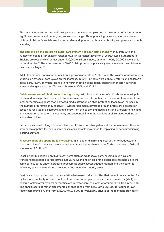The task of local authorities and their partners remains a complex one in the context of a sector under significant pressure and undergoing enormous change. Three prevailing factors shape the current picture of children's social care: increased demand, greater public accountability and pressure on public spending.

**The demand on the children's social care system has been rising steadily.** In March 2015 the number of looked after children reached 69,540, its highest level for 21 years.<sup>14</sup> Local authorities in England are responsible for just under 400,000 children in need, of whom nearly 50,000 have a child protection plan.15 This compares with 39,000 child protection plans six years ago when the children in need census began.16

While the national population of children is growing at a rate of 1.3% a year, the volume of assessments undertaken by social care is also on the increase. In 2014-15 there were 635,600 referrals to children's social care, 13.8% of which resulted in no further action being taken. Reports of children suffering abuse and neglect rose by 10% a year between 2008 and 2012.17

**Public awareness of child protection is growing,** with historical cases of child abuse increasing its public and media profile. The latest statistical release from DfE notes that, "anecdotal evidence from local authorities suggests that increased media attention on child protection leads to an increase in the number of referrals they receive".<sup>18</sup> Widespread media coverage of high profile child protection cases has resulted in disapproval and dismay from the public and media; a strong aversion to risk; and an expectation of greater transparency and accountability in the conduct of all services working with vulnerable children.

Perhaps as a result, alongside zero tolerance of failure and strong demand for improvement, there is little public appetite for, and in some cases considerable resistance to, replacing or decommissioning existing services.

**Pressure on public spending is increasing.** In an age of diminishing local authority budgets, unit costs in children's social care are increasing at a rate higher than inflation<sup>19</sup>; the total cost in 2014-15 was around £7 billion.<sup>20</sup>

Local authority spending on 'big ticket' items such as adult social care, housing, highways and transport has reduced in real terms since 2010. Spending on children's social care has held up in the same period, but is under increasing pressure as public sector budgets tighten and the search for efficiency savings extends into previously ring-fenced or priority areas.

Cost is also inconsistent, with wide variation between local authorities that cannot be accounted for by level or complexity of need, quality of outcomes or property prices. The vast majority (75%) of children looked after by local authorities are in foster care, at a cost of around £1.5 billion in 2014-15. The annual costs of foster placements per child range from £15,000 to £57,000 for councils' own foster care provision, and from £18,000 to £73,000 for voluntary, private or independent providers.<sup>21</sup>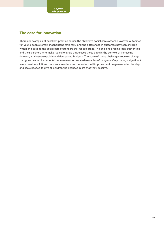### **The case for innovation**

There are examples of excellent practice across the children's social care system. However, outcomes for young people remain inconsistent nationally, and the differences in outcomes between children within and outside the social care system are still far too great. The challenge facing local authorities and their partners is to make radical change that closes these gaps in the context of increasing demand, a risk-averse public and decreasing budgets. The scale of these challenges requires change that goes beyond incremental improvement or isolated examples of progress. Only through significant investment in solutions that can spread across the system will improvement be generated at the depth and scale needed to give all children the chances in life that they deserve.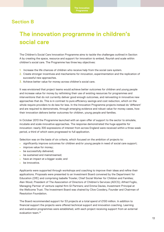### **Section B**

## **The innovation programme in children's social care**

The Children's Social Care Innovation Programme aims to tackle the challenges outlined in Section A by creating the space, resource and support for innovation to embed, flourish and scale within children's social care. The Programme has three key objectives:

- 1. Increase the life chances of children who receive help from the social care system.
- 2. Create stronger incentives and mechanisms for innovation, experimentation and the replication of successful new approaches.
- 3. Achieve better value for money across children's social care.

It was envisioned that project teams would achieve better outcomes for children and young people and increase value for money by rethinking their use of existing resources for programmes and interventions that do not currently deliver good enough outcomes, and reinvesting in innovative new approaches that do. This is in contrast to pure efficiency savings and cost reduction, which on the whole require providers to do less for less. In the Innovation Programme projects instead do 'different' and are required to demonstrate, through emerging evidence and robust value for money cases, how their innovation delivers better outcomes for children, young people and families.

In October 2013 the Programme launched with an open offer of support to the sector to simulate, incubate and scale innovative approaches. The response demonstrated the huge appetite for innovation: nearly 300 expressions of interest from across England were received within a three week period, a third of which were progressed to full application.

Selection was on the basis of six criteria, which focused on the ambition of projects to:

- significantly improve outcomes for children and/or young people in need of social care support;
- improve value for money;
- be successfully delivered;
- be sustained and mainstreamed;
- have an impact at a bigger scale; and
- be innovative.

Applicants were supported through workshops and coaching to improve their ideas and refine their applications. Proposals were presented to an Investment Board convened by the Department for Education (DfE) and comprising Isabelle Trowler, Chief Social Worker for Children and Families; Alan Wood, President of The Association of Directors of Children's Services (ADCS); Alfred Foglio, Managing Partner of venture capital firm GI Partners; and Emma Davies, Investment Principal at the Wellcome Trust. The Investment Board was chaired by Clive Cowdery, Founder and Chairman of Resolution Foundation.

The Board recommended support for 53 projects at a total spend of £100 million. In addition to financial support the projects were offered technical support and innovation coaching. Learning and evaluation programmes were established, with each project receiving support from an external evaluation team.<sup>22</sup>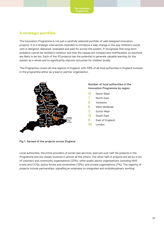### **A strategic portfolio**

The Innovation Programme is not just a carefully selected portfolio of well-designed innovation projects. It is a strategic intervention intended to introduce a step change in the way children's social care is designed, delivered, evaluated and paid for across the system. It recognises that long-term problems cannot be tackled in isolation and that the causes are complex and multifaceted, so solutions are likely to be too. Each of the 53 projects has the potential to generate valuable learning for the system as a whole and to significantly improve outcomes for children locally.

The Programme covers all nine regions of England, with 59% of all local authorities in England involved in the programme either as a lead or partner organisation.



### **Number of local authorities in the Innovation Programme by region**

- 12 North West
- 7 North East
- 8 Yorkshire
- 6 West Midlands
- 3 South West
- 12 South East
- 8 East of England
- 20 London

**Fig 1. Spread of the projects across England**

Local authorities, the prime providers of social care services, lead just over half the projects in the Programme and are closely involved in almost all the others. The other half of projects are led by a mix of voluntary and community organisations (23%); other public sector organisations, including NHS trusts and CCGs, police forces and universities (15%); and private organisations (7%). The majority of projects include partnerships, signalling an emphasis on integrated and multidisciplinary working.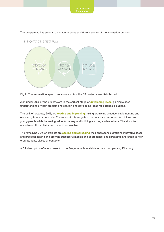

The programme has sought to engage projects at different stages of the innovation process.

**Fig 2. The innovation spectrum across which the 53 projects are distributed**

Just under 20% of the projects are in the earliest stage of **developing ideas**: gaining a deep understanding of their problem and context and developing ideas for potential solutions.

The bulk of projects, 60%, are **testing and improving**: taking promising practice, implementing and evaluating it at a larger scale. The focus of this stage is to demonstrate outcomes for children and young people while improving value for money and building a strong evidence base. The aim is to mainstream this activity and make it sustainable.

The remaining 20% of projects are **scaling and spreading** their approaches: diffusing innovative ideas and practice; scaling and growing successful models and approaches; and spreading innovation to new organisations, places or contexts.

A full description of every project in the Programme is available in the accompanying Directory.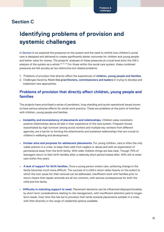### **Section C**

## **Identifying problems of provision and systemic challenges**

In Section A we explored the pressures on the system and the need to rethink how children's social care is designed and delivered to create significantly better outcomes for children and young people and better value for money. The projects' analyses of these pressures at a local level echo the DfE's analysis of the system as a whole.<sup>23, 24, 25</sup> For those within the social care system, these combined pressures are felt acutely as two distinctive but related problems:

- 1. Problems of provision that directly affect the experiences of **children, young people and families**.
- 2. Challenges faced by **front-line practitioners, commissioners and leaders** in trying to develop and implement new approaches.

### **Problems of provision that directly affect children, young people and families**

The projects have prioritised a series of persistent, long-standing and acute operational issues known to have serious adverse effects for social work practice. These are problems at the point of interface with children, young people and families.

- **Instability and inconsistency of placements and relationships.** Children value consistent, positive relationships above all else in their experience of the care system. Frequent moves, exacerbated by high turnover among social workers and multiple key workers from different agencies, are a barrier to forming the attachments and sustained relationships that are crucial to children's wellbeing and development.
- **Unclear aims and purposes for adolescent placements.** For young children, care is often the only viable solution in a crisis, to keep them safe from neglect or abuse and with an expectation of permanence away from the birth family. With older children things are less clear. Though 75% of teenagers return to their birth families after a relatively short period looked after, 40% will re-enter care within five years.
- **A lack of support for birth families.** Once a young person enters care, achieving change in the family becomes much more difficult. The success of a child's return relies heavily on the extent to which the root cause for their removal can be addressed. Insufficient work with families prior to return means that repeat removals are all too common, with serious consequences for both the child and the family.
- **Difficulty in matching support to need.** Placement decisions can be influenced disproportionately by short-term considerations relating to risk management, with insufficient attention paid to longerterm needs. Over time this has led to provision that tends towards placements suitable in a crisis, with little diversity in the range of residential options available.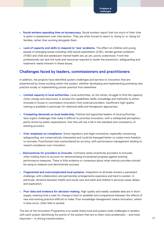- **Social workers spending time on bureaucracy.** Social workers report that too much of their time is spent in assessment over intervention. They are often forced to resort to 'doing to' or 'doing for' families, rather than working alongside them.
- **Lack of capacity and skills to respond to 'new' problems.** The effect on children and young people of emerging issues including child sexual exploitation (CSE), female genital mutilation (FGM) and child and adolescent mental health are, as yet, poorly understood. Front-line professionals can lack the tools and resources required to tackle the prevention, safeguarding and treatment needs inherent in these issues.

### **Challenges faced by leaders, commissioners and practitioners**

In addition, the projects have identified system challenges and barriers to innovation that are experienced by those working within the system, whether developing and implementing promising new practice locally or implementing proven practice from elsewhere.

- **• Limited capacity in local authorities.** Local authorities, on the whole, struggle to find the capacity (time, energy and resources) or access the capabilities (skills, knowledge and methods) to either innovate in-house or commission innovation from external providers. Insufficient high-quality training is available in particular for relational skills and therapeutic approaches.
- **• Competing demands on local leadership.** Political and appointed leaders of local authorities face urgent challenges that make it difficult to prioritise innovation, with a widespread perception, partly driven by public expectations, that this will risk a fall in the standard and consistency of existing provision.
- **• Over-emphasis on compliance.** Some regulatory and legal constraints, especially concerning safeguarding, are conservatively interpreted and could be managed better to create more freedom to innovate. Practitioners feel overburdened by scrutiny, with performance management tending to reward compliance over innovation.
- **• Disincentives for providers to innovate.** Contracts rarely incentivise providers to innovate, often holding them to account for demonstrating incremental progress against existing performance measures. There is little evidence or consensus about what metrics providers should be using to measure and demonstrate success.
- **• Fragmented and overcomplicated local systems.** Integration at all levels remains a persistent challenge, with collaboration and partnership arrangements expensive and hard to sustain. In particular, divisions between health and social care and adult and children's services cause delays and duplication.
- **• Poor data and evidence for decision-making.** High quality and readily available data are in short supply, meaning that a case for change is hard to establish and comparisons between the effects of new and existing practice difficult to make. Poor knowledge management means innovation, where it does occur, often fails to spread.

The aim of the Innovation Programme is to tackle these local and system-wide challenges in tandem, with each project identifying the points of the system that are to them most problematic – and most important – in driving transformation.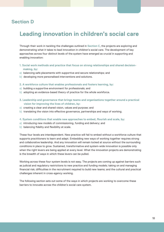### **Section D**

## **Leading innovation in children's social care**

Through their work in tackling the challenges outlined in **Section C**, the projects are exploring and demonstrating what it takes to lead innovation in children's social care. The development of key approaches across four distinct levels of the system have emerged as crucial in supporting and enabling innovation:

- **1. Social work methods and practice that focus on strong relationships and shared decision making, by:**
- a) balancing safe placements with supportive and secure relationships; and
- b) developing more personalised interventions and solutions.
- **2. A workforce culture that enables professionals and fosters learning, by:**
- a) building a supportive environment for professionals; and
- b) adopting an evidence-based theory of practice for the whole workforce.
- **3. Leadership and governance that brings teams and organisations together around a practical vision for improving the lives of children, by:**
- a) creating a clear and shared vision, values and purpose; and
- b) translating the vision into effective governance, partnerships and ways of working.
- **4. System conditions that enable new approaches to embed, flourish and scale, by:**
- a) introducing new models of commissioning, funding and delivery; and
- b) balancing fidelity and flexibility at scale.

These four levels are interdependent. New practice will fail to embed without a workforce culture that supports practitioners to learn and adapt. Embedding new ways of working together requires strong and collaborative leadership. And any innovation will remain locked at source without the surrounding conditions in place to grow. Sustained, transformative and system-wide innovation is possible only when the right levers are being applied at every level. What the innovation projects are demonstrating is the breadth of ways in which these levers can be pulled.

Working across these four system levels is not easy. The projects are coming up against barriers such as judicial and regulatory restrictions to new practice and funding models; taking on and managing financial risk; difficulties in the recruitment required to build new teams; and the cultural and practical challenges inherent in cross-agency working.

The following section sets out some of the ways in which projects are working to overcome these barriers to innovate across the children's social care system.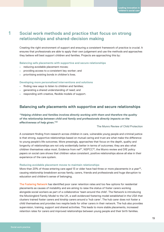### **Social work methods and practice that focus on strong relationships and shared-decision making**

Creating the right environment of support and ensuring a consistent framework of practice is crucial. It ensures that professionals are able to apply their own judgement and use the methods and approaches they believe will best support children and families. Projects are approaching this by:

**Balancing safe placements with supportive and secure relationships**

**•** reducing avoidable placement moves;

**1**

- **•** providing access to a consistent key worker; and
- **•** prioritising existing bonds in children's lives.

**Developing more personalised interventions and solutions**

- **•** finding new ways to listen to children and families;
- **•** generating a shared understanding of need; and
- **•** responding with creative, flexible models of support.

### **Balancing safe placements with supportive and secure relationships**

*"Helping children and families involves directly working with them and therefore the quality of the relationship between child and family and professionals directly impacts on the effectiveness of help given."26*

The Munro Review of Child Protection

A consistent finding from research across children in care, vulnerable young people and criminal justice is that strong, supportive relationships based on mutual caring and trust are what make the difference to young people's life outcomes. More pressingly, approaches that focus on the depth, quality and longevity of relationships are not only evidentially better in terms of outcomes; they are also what children themselves value most. Evidence from nef<sup>27</sup>, NSPCC<sup>28</sup>, the Munro review and DfE policy papers on social care shows that children value consistent, positive relationships above all else in their experience of the care system.

### **Reducing avoidable placement moves to maintain relationships**

More than 20% of those entering care aged 13 or older have had three or more placements in a year<sup>29</sup>, causing relationship breakdown across family, carers, friends and professionals and huge disruption to education and children's sense of belonging.

The Fostering Network has identified poor carer retention rates and too few options for residential placements as causes of instability and are aiming to raise the status of foster carers working alongside social workers as part of a collaborative 'team around the child'. The Network is introducing the Mockingbird Family Model to the UK, a well-evidenced fostering model established in the USA that clusters trained foster carers and kinship carers around a 'hub carer'. The hub carer does not foster a child themselves and provides two respite beds for other carers in their network. The hub also provides supervision, training, support and shared activities. This leads to more stable placements, increased retention rates for carers and improved relationships between young people and their birth families.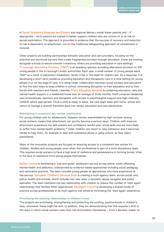In South Yorkshire's Empower and Protect sub-regional delivery model foster parents and – if appropriate – birth parents are trained to better support children who are victims of, or at risk of, sexual exploitation. The approach is grounded in evidence that the success of recovery and reduction of risk is dependent on attachment, not on the traditional safeguarding approach of containment or removal.

Other projects are building partnerships between education and care providers, focusing on the practical and emotional barriers that create fragmented journeys through education. Some are working alongside schools to ensure smooth transitions; others are providing education in care settings. Tri-borough Alternative Provision (TBAP) is an academy sponsor providing alternative provision to 330 young people in the tri-borough London authorities. Each year, a small number of young people leave TBAP as a result of placement breakdown, family crisis or the need for respite care. As a response, it is developing a short-term residence providing education and therapeutic care in a rural setting for young people in or on the edge of care. It is using closer collaboration between social workers and educators to find the best ways to keep children in school, minimising disruption to their education and to their bonds with teachers and friends. Likewise, Priory Education Services is combining education, care and mental health support in a residential home over an average of three months. Staff comprise residential care professionals, teachers and therapists, with access to psychological support and high-intensity CAMHS where appropriate. Once a child is ready to leave, the care team liaise with home, school and carers to manage a smooth transition back into family, education and care placements.

#### **Maintaining a consistent key worker relationship**

For young children and for adolescents, frequent moves, exacerbated by high turnover among social workers, means that attachment can quickly become a serious issue. Children with insecure attachment experience low self-esteem and confidence, exhibit poor social skills and are more likely to suffer from mental health problems.<sup>30</sup> Older children can resort to risky behaviour and it becomes harder to help them, for example to deal with substance abuse or gang culture, as they reject placements.

Many of the innovation projects are focused on ensuring access to a consistent key worker for children, families and young people, even when that professional is part of a multi-disciplinary team. This requires social workers to have a high level of resilience and perseverance in forming bonds, often in the face of resistance from young people themselves.

Sefton Council is developing a 'hub and spoke' adolescent service across police, youth offending, mental health and addiction, underpinned by evidence-based approaches including social pedagogy and restorative practice. The team includes young people as apprentices who have experience of the service. Doncaster Children's Services Trust is creating a multi-agency team, across social care, police, health and schools, which includes two new roles: a domestic abuse navigator and police specialist. The team maintains one key relationship with children to reduce the number of 'start again' relationships that families often experienced. Stockport Council is developing a shared model of practice across professionals in its multi-agency hub aimed at minimising the 'start again' experience.

#### **Prioritising the existing relationships in children's lives**

The projects are prioritising, strengthening and protecting the existing, positive bonds in children's lives, whomever these might be with. In addition, they are demonstrating that this requires a shift in the ways in which social workers view their role and position themselves – from a decision-maker on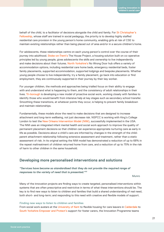behalf of the child, to a facilitator of decisions alongside the child and family. For St Christopher's Fellowship, whose staff are trained in social pedagogy, the priority is to develop highly staffed residential care provision in the young person's home community, enabling girls at risk of CSE to maintain existing relationships rather than being placed out of area and/or in a secure children's home.

For adolescents, these relationships centre on each young person's control over the course of their journey into adulthood. Stoke-on-Trent's The House Project, a housing solution built on co-operative principles led by young people, gives adolescents the skills and ownership to live independently and make decisions about their futures. North Yorkshire's No Wrong Door hub offers a variety of accommodation options, including residential care home beds, emergency residential beds, foster family placements, supported accommodation, supported lodgings and bespoke placements. Whether young people choose to live independently, try a family placement, go back into education or find employment, they are continuously supported in their journey by their key worker.

For younger children, the methods and approaches being trialled focus on their ability to engage with and understand what is happening to them, and the consistency of adult relationships in their lives. Tri-borough is developing a new model of proactive social work, working closely with families to identify those who would benefit from intensive help at key stages such as secondary school transfer. Smoothing these transitions, at whatever points they occur, is helping to prevent family breakdown and maintain relationships.

Fundamentally, these models show the need to make decisions that are designed to increase attachment and long-term wellbeing, not just decrease risk. NSPCC is working with King's College London to test the New Orleans Intervention Model (NIM), successfully implemented in the USA. The NIM uses an integrated infant mental health and social work approach to improve the quality of permanent placement decisions so that children can experience appropriate nurturing care as early in life as possible. Decisions about a child's care are informed by changes in the strength of the childparent attachment relationship following extensive assessment and treatment, rather than a static assessment of risk. In its original setting the NIM model has demonstrated a reduction of up to 68% in the repeat maltreatment of children returned home from care, and a reduction of up to 75% in the risk of harm to other children in the same household.

### **Developing more personalised interventions and solutions**

*"Services have become so standardised that they do not provide the required range of responses to the variety of need that is presented."31*

Munro de la constitución de la constitución de la constitución de la constitución de la constitución de la con

Many of the innovation projects are finding ways to create targeted, personalised interventions within systems that are often prescriptive and restrictive in terms of what these interventions should be. The key is to find new ways to listen to children and families that build a shared understanding of real need, both short- and long-term; and responding to this need with creative and flexible models of support.

### **Finding new ways to listen to children and families**

From social work avatars at the University of Kent to flexible housing for care leavers in Calderdale to South Yorkshire Empower and Protect's support for foster carers, the Innovation Programme teams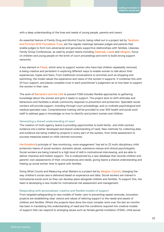with a deep understanding of the lives and needs of young people, parents and carers.

An essential feature of Family Drug and Alcohol Courts, being rolled out in a project led by Tavistock and Portman NHS Foundation Trust, are the regular meetings between judges and parents that enable judges to form non-adversarial and genuinely supportive relationships with families. Likewise, Family Group Conferences, as used by project teams including Daybreak, Leeds and Islington, focus on children and young people on the brink of court proceedings and work to build strong support networks.

A key element in Pause, which aims to support women who have had children repeatedly removed, is being creative and persistent in exploring different ways to enable women to talk about their experiences, hopes and fears. From traditional conversations to activities such as shopping and swimming, the model values the experience and views of the women it supports. It combines this with 24 hour support, and places complete trust in each practitioner's judgement as to how best to support the women in their care.

The work of Barnardo's and the LGA to prevent FGM includes flexible approaches to gathering knowledge about the women and girls it seeks to support. The project aims to shift attitudes and behaviours and facilitate a whole-community response to prevention and protection. Specialist social workers will provide support, including through court proceedings, and co-ordinate psychological and medical specialist care. Comprehensive training will be provided to over 500 health and social work staff to address gaps in knowledge on how to identify and protect women and children.

#### **Generating a shared understanding of need**

The creation of multi-agency teams is providing opportunities to build family- and child-centred evidence into a better developed and shared understanding of need. New methods for collecting data and evidence are being trialled by projects in every part of the system, from initial assessment to success measures based on child-centred outcomes.

Hertfordshire's principle of 'less monitoring, more engagement' has led to 22 multi-disciplinary child protection teams of social workers, domestic abuse, substance misuse and clinical psychologists. Social workers are being trained to a high level of skill in motivational interviewing, and are able to deliver intensive and holistic support. Ths is underpinned by a new database that records children and parents' own assessments of their circumstances and needs, giving teams a shared understanding and freeing up social worker time to spend with families.

Doing What Counts and Measuring what Matters is a project led by Islington Council, changing the way children's social care is delivered based on experience and data. Social workers are trained in motivational social work so they can develop plans alongside children and families. To support this, the team is developing a new model for motivational risk assessment and management.

#### **Responding with personalised, creative and flexible models of support**

From targeted safeguarding to new models of foster care to preventing repeat removals, innovation projects are establishing clear visions and values of tailoring support to the needs and assets of children and families. Where the projects have done the most complex work over the last six months has been in translating this understanding of need and the conditions required into creative models of support that can respond to emerging issues such as female genital mutilation (FGM), child sexual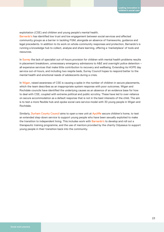exploitation (CSE) and children and young people's mental health.

Barnardo's has identified low trust and low engagement between social services and affected community groups as a barrier in tackling FGM, alongside an absence of frameworks, guidance and legal precedents. In addition to its work on whole-community responses and protection, Barnardo's is running a knowledge hub to collect, analyse and share learning, offering a 'marketplace' of tools and resources.

In Surrey the lack of specialist out-of-hours provision for children with mental health problems results in placement breakdown, unnecessary emergency admissions to A&E and overnight police detention – all expensive services that make little contribution to recovery and wellbeing. Extending its HOPE day service out-of-hours, and including two respite beds, Surrey Council hopes to respond better to the mental health and emotional needs of adolescents during a crisis.

In Wigan, raised awareness of CSE is causing a spike in the number of children in secure placements, which the team describes as an inappropriate system response with poor outcomes. Wigan and Rochdale councils have identified the underlying causes as an absence of an evidence base for how to deal with CSE, coupled with extreme political and public scrutiny. These have led to over-reliance on secure accommodation as a default response that is not in the best interests of the child. The aim is to test a more flexible hub-and-spoke social care service model with 30 young people in Wigan and Rochdale.

Similarly, Durham County Council aims to open a new unit at Aycliffe secure children's home, to test an extended step-down service to support young people who have been sexually exploited to make the transition to independent living. This includes work with Barnardo's to develop and roll out a therapeutic training programme, and the use of mentors provided by the charity Odysseus to support young people in their transition back into the community.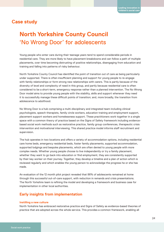### **Case study**

## **North Yorkshire County Council** 'No Wrong Door' for adolescents

Young people who enter care during their teenage years tend to spend considerable periods in residential care. They are more likely to have placement breakdowns and can follow a path of multiple placements, over time becoming distrusting of positive relationships, disengaging from education and training and falling into patterns of risky behaviour.

North Yorkshire County Council has identified the point of transition out of care as being particularly under supported. There is often insufficient planning and support for young people to re-engage with family relationships or form strong new relationships with carers. This is partly because of the diversity of level and complexity of need in this group, and partly because residential care is often considered to be a short-term, emergency response rather than a planned intervention. The No Wrong Door model aims to provide young people with the stability, skills and support whenever they need it to successfully manage these difficult points of transition; and, more broadly, the transition from adolescence to adulthood.

No Wrong Door is a hub comprising a multi-disciplinary and integrated team including clinical psychologists, speech therapists, family circle workers, education training and employment support, placement support workers and homelessness support. These practitioners work together in a single space with a common theory of practice based on the Signs of Safety framework including evidencebased social work methods such as restorative practice, family group conferences, therapeutic crisis intervention and motivational interviewing. This shared practice model informs staff recruitment and supervision.

The hub operates in two locations and offers a variety of accommodation options, including residential care home beds, emergency residential beds, foster family placements, supported accommodation, supported lodgings and bespoke placements, which are often denied to young people with more complex needs. Whether young people choose to live independently or try a family placement, whether they want to go back into education or find employment, they are consistently supported by their key worker on their journey. Together, they develop a timeline and a plan of action which is reviewed regularly and which enables the young person to acknowledge the progress he or she has made.

An evaluation of the 12 month pilot project revealed that 86% of adolescents remained at home through this successful out-of-care support, with reduction in remands and crisis presentations. The North Yorkshire team is refining the model and developing a framework and business case for implementation in other local authorities.

### **Early insights from implementation**

#### **Instilling a new culture**

North Yorkshire has embraced restorative practice and Signs of Safety as evidence-based theories of practice that are adopted across the whole service. This provides a common framework, enabling all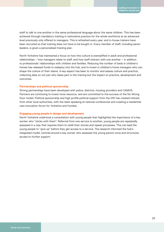staff to talk to one another in the same professional language about the same children. This has been achieved through mandatory training in restorative practice for the whole workforce at an advanced level previously only offered to managers. This is refreshed every year, and in-house trainers have been recruited so that training does not have to be bought in. Every member of staff, including senior leaders, is given a personalised training plan.

North Yorkshire has maintained a focus on how this culture is exemplified in adult and professional relationships – how managers relate to staff, and how staff interact with one another – in addition to professionals' relationships with children and families. Reducing the number of beds in children's homes has released funds to redeploy into the hub, and to invest in children's home managers who can shape the culture of their teams. A key aspect has been to monitor and assess culture and practice, collecting data on not just who takes part in the training but the impact on practice, development and outcomes.

#### **Partnerships and political sponsorship**

Strong partnerships have been developed with police, districts, housing providers and CAMHS. Partners are continuing to invest more resource, and are committed to the success of the No Wrong Door model. Political sponsorship and high profile political support from the DfE has created interest from other local authorities, with the team speaking at national conferences and creating a residential care innovation forum for Yorkshire and Humber.

### **Engaging young people in design and development**

North Yorkshire undertook a consultation with young people that highlighted the importance of a key worker who "sticks with them". Referred from one service to another, young people are repeatedly assessed in a way that requires them to retell their stories and repeat processes. This can lead the young people to "give up" before they get access to a service. The research informed the hub's integrated model, centred around a key worker who assesses the young person once and structures access to further support.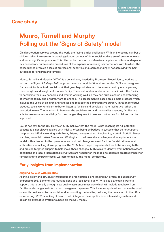### **Case study**

## **Munro, Turnell and Murphy** Rolling out the 'Signs of Safety' model

Child protection services around the world are facing similar challenges. With an increasing number of children taken into care for increasingly longer periods of time, social workers are often overwhelmed and under significant pressure. This often locks them into a defensive compliance culture, underpinned by unnecessary bureaucratic procedures at the expense of meaningful interactions with families. The consequence of this is a loss of professional expertise and, correspondingly, not achieving the best outcomes for children and families.

Munro, Turnell and Murphy (MTM) is a consultancy headed by Professor Eileen Munro, working to roll out the Signs of Safety (SoS) approach to social work in 10 local authorities. SoS is an integrated framework for how to do social work that goes beyond standard risk assessment by encompassing the strengths and insights of a whole family. The social worker works in partnership with the family to determine their key concerns and what is working well, so they can build a shared understanding of what the family and children want to change. The assessment is based on a simple protocol which includes the voice of children and families and reduces the administrative burden. Through reflective practice, social workers learn to better listen to families and develop a more facilitative rather than prescriptive role. The relationship between the social worker and the families changes; families are able to take more responsibility for the changes they want to see and outcomes for children can be improved.

SoS is not new to the UK. However, MTM believe that the model is not reaching its full potential because it is not always applied with fidelity, often being embedded in systems that do not support the practice. MTM is working with Brent, Bristol, Leicestershire, Lincolnshire, Norfolk, Suffolk, Tower Hamlets, Wakefield, West Sussex and Wokingham to address this challenge and to implement the model with attention to the operational and cultural change required for it to flourish. Where local authorities are making slower progress, the MTM team helps diagnose what could be working better and provide targeted support to help make those changes. MTM aims to identify what national system conditions and local organisational structures are needed for the model to generate greatest impact for families and to empower social workers to deploy the model confidently.

### **Early insights from implementation**

### **Aligning policies with practice**

Aligning policy and structure throughout an organisation is challenging but critical to successfully embedding SoS. Some of this must be done at a local level, but MTM is also developing ways to support this nationally through new quality assurance measures which will include feedback from families and changes to information management systems. This includes applications that can be used on mobile devices while the social worker is visiting the families, reducing the time spent in the office on reporting. MTM is looking at how to both integrate these applications into existing system and design an alternative system founded on the SoS model.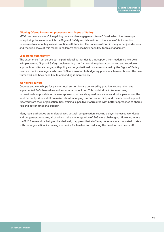### **Aligning Ofsted inspection processes with Signs of Safety**

MTM has been successful in gaining constructive engagement from Ofsted, which has been open to exploring the ways in which the Signs of Safety model can inform the shape of its inspection processes to adequately assess practice with families. The success of SoS in many other jurisdictions and the wide scale of this model in children's services have been key to this engagement.

### **Leadership commitment**

The experience from across participating local authorities is that support from leadership is crucial in implementing Signs of Safety. Implementing the framework requires a bottom-up and top-down approach to cultural change, with policy and organisational processes shaped by the Signs of Safety practice. Senior managers, who see SoS as a solution to budgetary pressures, have embraced the new framework and have been key to embedding it more widely.

#### **Workforce culture**

Courses and workshops for partner local authorities are delivered by practice leaders who have implemented SoS themselves and know what to look for. This model aims to train as many professionals as possible in the new approach, to quickly spread new values and principles across the local authority. When staff are asked about managing risk and uncertainty and the emotional support received from their organisation, SoS training is positively correlated with better approaches to shared risk and better emotional support.

Many local authorities are undergoing structural reorganisation, causing delays, increased workloads and budgetary pressures, all of which make the integration of SoS more challenging. However, where the SoS framework is being embedded well, it appears that staff may become more motivated to stay with the organisation, increasing continuity for families and reducing the need to train new staff.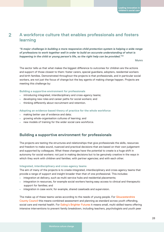### **A workforce culture that enables professionals and fosters learning 2**

*"A major challenge in building a more responsive child protection system is helping a wide range of professions to work together well in order to build an accurate understanding of what is happening in the child or young person's life, so the right help can be provided."32* 

Munro de la constitución de la constitución de la constitución de la constitución de la constitución de la con

The sector tells us that what makes the biggest difference to outcomes for children are the actions and support of those closest to them: foster carers, special guardians, adopters, residential workers and birth families. Demonstrated throughout the projects is that professionals, and in particular social workers, are not just the focus of change but the key agents of making change happen. Projects are meeting this challenge by:

#### **Building a supportive environment for professionals**

- introducing integrated, interdisciplinary and cross-agency teams;
- **•** developing new roles and career paths for social workers; and
- **•** thinking differently about recruitment and retention.

#### **Adopting an evidence-based theory of practice for the whole workforce**

- **•** making better use of evidence and data;
- **•** growing whole-organisation cultures of learning; and
- **•** new models of training for the wider social care workforce.

### **Building a supportive environment for professionals**

The projects are testing the structures and relationships that give professionals the skills, resources and freedom to make sound, nuanced and practical decisions that are based on their own judgement and supported by colleagues. What these changes have the potential to create is a huge shift in autonomy for social workers: not just in making decisions but to be genuinely creative in the ways in which they work with children and families; with partner agencies; and with each other.

#### **Integrated, interdisciplinary and cross-agency teams**

The aim of many of the projects is to create integrated, interdisciplinary and cross-agency teams that provide a range of support and insight broader than that of one professional. This includes:

- **•** integration at delivery, such as multi-service hubs and residential placements;
- **•** integration in resources, for example social workers having easy access to clinical and therapeutic support for families; and
- **•** integration in case work; for example, shared caseloads and supervision.

The make-up of these teams varies according to the needs of young people. For Gloucestershire County Council this means combined assessment and planning as standard across youth offending, social care and mental health. For Ealing's Brighter Futures it means small, multi-skilled teams offering intensive interventions to prevent family breakdown, including teachers, psychologists and youth peer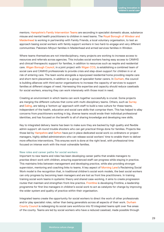mentors. Hampshire's Family Intervention Teams are seconding in specialist domestic abuse, substance misuse and mental health practitioners to children in need teams. The Royal Borough of Windsor and Maidenhead is working in partnership with Family Friends, a local voluntary organisation, to test an approach basing social workers with family support workers in two hard-to-engage and very different communities: Pakistani-Mirpuri families in Maidenhead and armed services families in Windsor.

Where teams themselves are not interdisciplinary, many projects are working to increase access to resources and referrals across agencies. This includes social workers having easy access to CAMHS and clinical/therapeutic support for families, in addition to resources such as respite and residential care. Wigan Borough Council, in a joint project with Wigan CCG, is establishing a combined team of social care and CAMHS professionals to provide crisis and step-down support for children in or at risk of entering care. The team works alongside a repurposed residential home providing respite care and short-term placements, in addition to a group of specialist foster carers. In Durham, the council is building alliances with third sector organisations to increase the capacity of services to support families at different stages of need. Harnessing this expertise and capacity should reduce caseloads for social workers, ensuring they can work intensively with those most in need.

Creating an environment in which teams can work together successfully is crucial. Some projects are merging the different cultures that come with multi-disciplinary teams. Others, such as Surrey and Ealing, are taking a 'bottom up' approach with staff to build a new culture for these teams, independent of the health, education and social care skills that comprise them. This has helped to allay concerns from practitioners working in big, diverse teams would erode their individual professional identities, and has focused on the benefit to all of sharing knowledge and developing new skills.

Key to integrated delivery teams has been to make sure they are backed by high quality and flexible admin support: all-round trouble shooters who can get practical things done for families. Projects like those led by Hampshire and Sefton have put in place dedicated social work co-ordinators or project managers, highly skilled administrators who can release social workers' time to enable them to deliver more effective interventions. This ensures work is done at the right level, with professional time focused on intense work with the most vulnerable families.

### **New roles and career paths for social workers**

Important to new teams and roles has been developing career paths that enable managers to practise direct work with children, ensuring experienced staff can progress while staying in practice. This maintains links between management and developing practice, while also providing stronger supervision, mentoring and coaching links to teams. A key aspect of Morning Lane's Reclaiming Social Work model is the recognition that, in traditional children's social work models, the best social workers can only progress by becoming team managers and are lost as front line practitioners. In training training social work teams in systemic theory and shared case-working, it aims to create progression routes that maintain and strengthen front-line practice. Frontline is developing Firstline, a leadership programme for first line managers in children's social work to act as catalysts for change by improving the wider system and quality of practice within their organisation.

Integrated teams create the opportunity for social workers to direct the work of other professionals and/or play specialist roles, rather than being generalists across all aspects of their work. Durham County Council is redesigning its social care workforce into 10 integrated teams split over five areas of the county. Teams are led by social workers who have a reduced caseload, made possible through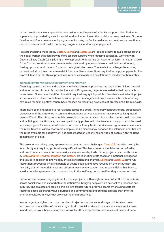better use of social work specialists who deliver specific parts of a family's support plan. Reflective supervision is provided by a senior social worker. Underpinning the model is an award-winning Stronger Families workforce development programme, focusing on family mediation and restorative practice; a pre-birth assessment toolkit; parenting programmes; and family engagement.

Projects including those led by Sefton, Ealing and Catch-22 are looking at how to build teams around the social worker that can provide more tailored support while reducing caseloads. Working with Cheshire East, Catch-22 is piloting a new approach to delivering services for children in need in Crewe. A 'pod' structure allows some services to be delivered by non-social work qualified practitioners, freeing up social work time to focus on the highest risk cases. The aim is to challenge the existing professional structures that can restrict the proactive interventions required to help young people. The pilot will test whether this approach can reduce caseloads and escalations to child protection status.

#### **Thinking differently about recruitment and retention**

Changing team structures and creating multi-disciplinary approaches has required rethinking internal and external recruitment. Across the Innovation Programme, projects are varied in their approach to recruitment. Some have identified the staff required very quickly, while others have waited until project structures are in place. Some have recruited project managers and professionals internally, creating new roles for existing staff; others have focused on recruiting new kinds of professionals from outside.

There have been challenges to recruitment across the board. Temporary contract offers, bureaucratic processes and the difference in terms and conditions between agencies have made building mixed teams difficult. Recruiting for specialist roles, including substance misuse roles, mental health workers and multilingual practitioners, has been particularly problematic due to a lack of support and the need in some projects for work out of hours or on a consultancy basis. Service-level agreements have made the recruitment of clinical staff more complex, and a discrepancy between the salaries in charities and the rates available for agency work has exacerbated an underlying shortage of people with the right combination of skills.

The projects are taking many approaches to combat these challenges. Catch-22 has advertised jobs as explicitly not requiring professional qualifications. This has created a much better mix of skills and practitioners who are not necessarily social workers by trade. Other projects, such as those led by Achieving for Children, Islington and Sefton, are recruiting staff based on emotional intelligence and values in addition to knowledge, critical reflection and analysis. Ealing and Catch-22 have run recruitment processes involving panels of young people, and have focused on the enthusiasm and flexibility of staff to work in new and different ways. A key concern and focus in Ealing has been to avoid a two-tier system – that those working in the 'old' way do not feel like they are second best.

Retention has been an ongoing issue for some projects, with a high turnover of staff. This is an issue across social care, and exacerbates the difficulty in bringing people into a new set of processes and cultures. The projects are tackling this on two fronts: future-proofing teams by ensuring staff are recruited based on shared values, purpose and commitment; and bringing existing staff into the emerging cultures in ways that are inspiring and motivating.

In one project, a higher than usual number of rejections at the second stage of interview threw into question the abilities of the existing cohort of social workers to operate at a more senior level. In addition, tensions have arisen when internal staff have applied for new roles and have not been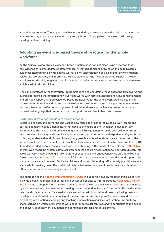viewed as appropriate. The project team has responded by developing an additional recruitment point at an earlier stage of the social workers' career path, to build a pipeline of relevant staff through development and training.

### **Adopting an evidence-based theory of practice for the whole workforce**

As the Munro Review argues, evidence-based practice does not just mean using a method that has evidence of "some degree of effectiveness"<sup>33</sup>. Instead, it means drawing on the best available evidence; integrating this with a social worker's own understanding of a child and family's situation, values and preferences; and informing their decision about the most appropriate support. It relies absolutely on the skill, judgement and knowledge of professionals across the care sector, and requires a high level of critical thinking.

One aim of projects in the Innovation Programme is to find and define these operating frameworks and overall approaches that underpin how everyone works with families, assesses risk, builds relationships and provides support. Shared evidence-based frameworks for the whole workforce are beginning to provide the flexibility and permission, as well as the professional toolkit, for practitioners to make decisions based on professional judgement. In addition, these approaches are serving as a shared professional language that teams can use to support one another to learn and develop.

### **Better use of evidence and data to inform practice**

Better use of data, and gathering and valuing new forms of evidence, allow social work teams and partner agencies to build a rich picture that goes to the heart of the fundamental question: are we improving the lives of children and young people? This question reframes data collection from measurement of activity and compliance, to measurement of outcomes and experience. Key to this is collecting evidence directly from children, young people and families about their experiences of the system – not just after the fact, but in real time. This allows professionals to alter their practice swiftly if needed, in addition to building up a shared understanding of the needs of the child. In Hertfordshire an improved recording system allows children, families and significant adults to input data directly into social workers' notes, creating a fuller picture of experience and effectiveness. As part of its Project Crewe programme, Catch-22 is running an RCT to test if its new model – centred around support plans that are co-produced between families, children and non-social work qualified family practitioners – is successfully breaking down the traditional division between the roles of professionals and families, often a barrier to parents seeking early support.

The approach of the National Implementation Service includes high-quality research trials, as part of a theme across the projects of establishing better use of data to inform practice. Newcastle's Family Insights aims to support more families to stay together safely. Its social work model cuts bureaucracy by using needs-based segmentation, creating new social work units that focus on families with similar needs and characteristics. Data analysts are embedded within social work teams, allowing teams to develop a more detailed understanding of the needs of families facing similar issues. In addition, the project team is creating a learning and teaching organisation alongside Northumbria University to share learning on which interventions work best for particular families, and to contribute to the design and delivery of social work education and continuous professional development.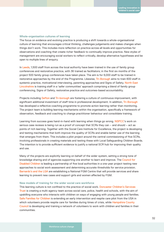### **Whole-organisation cultures of learning**

The focus on evidence and evolving practice is producing a shift towards a whole-organisational culture of learning that encourages critical thinking, challenges judgements and makes changes when things don't work. This includes more reflection on practice across all levels and opportunities for observations and coaching that create richer feedback to continually improve practice. New styles of management are encouraging social workers to reflect critically, develop alternative hypotheses and be open to multiple lines of enquiry.

In Leeds, 1,500 staff from across the local authority have been trained in the use of family group conferences and restorative practice, with 36 trained as facilitators; in the first six months of the project 500 family group conferences have taken place. The aim is for 6,000 staff to be trained in restorative approaches by the end of the Programme. Likewise, Tri-Borough aims to train 600 staff in systemic practice, motivational interviewing, parenting approaches and Signs of Safety. North East Lincolnshire is training staff in a 'safer communities' approach comprising a blend of family group conferencing, Signs of Safety, restorative practice and outcomes-based accountability.

Projects including Sefton and Tri-borough are fostering a culture of continuous improvement, with significant additional investment of staff time in professional development. In addition, Tri-Borough has developed a reflective coaching programme to promote action learning rather than monitoring. The project team is building learning mechanisms within the organisation, specifically a framework of observation, feedback and coaching to change practitioner behaviour and consolidate training.

Learning from success goes hand-in-hand with learning when things go wrong. NSPCC's work on serious case reviews is being run as a proof of concept that SCRs they can – and should – act as points of rich learning. Together with the Social Care Institute for Excellence, the project is developing and testing mechanisms that both improve the quality of SCRs and enable better use of the learning that emerges from them. This includes a pilot project around the central commissioning of five SCRs, involving professionals in creating materials and testing these with Local Safeguarding Children Boards. The intention is to provide sufficient evidence to justify a national SCR hub for improving their quality and use.

Many of the projects are explicitly learning on behalf of the wider system, setting a strong tone of knowledge sharing and of agencies supporting one another to learn and improve. The Council for Disabled Children is leading a partnership of five local authorities in a one-year project testing new approaches to social work assessment and determining accurate thresholds for service provision. Barnardo's and the LGA are establishing a National FGM Centre that will provide services and share learning to prevent new cases and support girls and women affected by FGM.

#### **New models of training for the wider social care workforce**

This learning culture is not confined to the practice of social work. Doncaster Children's Services Trust is creating a multi-agency team across social care, police, health and schools, with the aim of upskilling everyone who interacts with children on ways of engaging with young people and families. Safe Families for Children is extending an early intervention and respite care pilot from the USA in which volunteers provide respite care for families during times of crisis, while Hampshire County Council is developing and training a network of volunteers to work with children and families in their communities.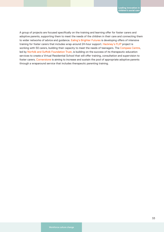A group of projects are focused specifically on the training and learning offer for foster carers and adoptive parents, supporting them to meet the needs of the children in their care and connecting them to wider networks of advice and guidance. Ealing's Brighter Futures is developing offers of intensive training for foster carers that includes wrap-around 24-hour support. Hackney's FLIP project is working with 50 carers, building their capacity to meet the needs of teenagers. The Compass Centre, led by Norfolk and Suffolk Foundation Trust, is building on the success of its therapeutic education services to create a Virtual Residential School that will offer training, consultation and supervision to foster carers. Cornerstone is aiming to increase and sustain the pool of appropriate adoptive parents through a wraparound service that includes therapeutic parenting training.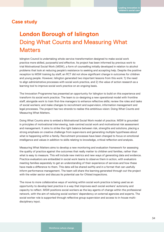### **Case study**

## **London Borough of Islington** Doing What Counts and Measuring What **Matters**

Islington Council is undertaking whole-service transformation designed to make social work practice more skilled, purposeful and effective. Its project has been informed by previous work to trial Motivational Social Work (MSW), a form of counselling initially developed in relation to alcohol problems that look at reducing people's resistance to seeking and accepting help. Despite the positive reception to MSW training by staff, an RCT did not show significant change in outcomes for children and young people. However, Islington generated two important lessons from this work: 1) the need to align administrative processes with social work practice, and 2) the value of action research as a learning tool to improve social work practice on an ongoing basis.

The Innovation Programme has presented an opportunity for Islington to build on this experience and transform its social work practice. The team is co-designing a new operational model with frontline staff, alongside work to train first-line managers to enhance reflective skills; review the roles and tasks of social workers; and make changes to recruitment and supervision, information management and legal processes. The project has two strands to realise this ambitious vision: Doing What Counts and Measuring What Matters.

Doing What Counts aims to embed a Motivational Social Work model of practice. MSW is grounded in principles of motivational interviewing, task-centred social work and motivational risk assessment and management. It aims to strike the right balance between risk, strengths and solutions, placing a strong emphasis on creative challenge from supervisors and generating multiple hypotheses about what is happening within a family. Recruitment processes have been changed to focus on emotional intelligence and values in addition to skills relating to knowledge, critical reflection and analysis.

Measuring What Matters aims to develop a new monitoring and evaluation framework for assessing the quality of practice against the outcomes that really matter to children and families, rather than what is easy to measure. This will include new metrics and new ways of generating data and evidence. Practice evaluators are embedded in social work teams to observe them in action, with evaluators meeting families separately to get an understanding of their experience of services and how these have made a difference to them. This data will be shared swiftly and in a format that can usefully inform performance management. The team will share the learning generated through out the project with the wider sector and discuss its potential use for Ofsted inspections.

The move to more collaborative ways of working within social work practice is being used as an opportunity to develop best practice in a way that improves each social workers' autonomy and capacity to reflect. MSW positions social workers as the key agents of change within the professional network, with the aim of reducing social workers' dependency on external agencies and experts. The social worker role is supported through reflective group supervision and access to in-house multidisciplinary input.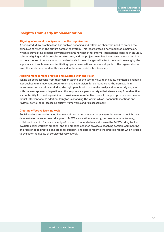### **Insights from early implementation**

### **Aligning values and principles across the organisation**

A dedicated MSW practice lead has enabled coaching and reflection about the need to embed the principles of MSW in the culture across the system. This incorporates a new model of supervision, which is stimulating broader conversations around what other internal interactions look like in an MSW culture. Aligning workforce culture takes time, and the project team has been paying close attention to the anxieties of non-social work professionals in how changes will affect them. Acknowledging the importance of such fears and facilitating open conversations between all parts of the organisation – even those who are not directly involved in the new model – has been key.

### **Aligning management practice and systems with the vision**

Taking on board lessons from their earlier testing of the use of MSW techniques, Islington is changing approaches to management, recruitment and supervision. It has found using the framework in recruitment to be critical to finding the right people who can intellectually and emotionally engage with the new approach. In particular, this requires a supervision style that steers away from directive, accountability focused supervision to provide a more reflective space to support practice and develop robust interventions. In addition, Islington is changing the way in which it conducts meetings and reviews, as well as re-assessing quality frameworks and risk assessment.

### **Creating effective learning tools**

Social workers are audio taped five to six times during the year to evaluate the extent to which they demonstrate the seven key principles of MSW – evocation, empathy, purposefulness, autonomy, collaboration, child focus and clarity of concern. Embedded evaluators use the MSW coding tool to evaluate social workers' practice, and the practice coaches provide a coaching session, commenting on areas of good practice and areas for support. The data is fed into the practice report which is used to evaluate the quality of service delivery overall.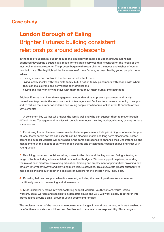### **Case study**

## **London Borough of Ealing**  Brighter Futures: building consistent relationships around adolescents

In the face of substantial budget reductions, coupled with rapid population growth, Ealing has prioritised developing a sustainable model for children's services that is centred on the needs of the most vulnerable adolescents. The process began with research into the needs and wishes of young people in care. This highlighted the importance of three factors, as described by young people themselves:

- having choice and control in the decisions that affect them;
- living locally, ideally with their birth family but, if not, in family placements with people with whom they can make strong and permanent connections; and
- having one lead worker who stays with them throughout their journey into adulthood.

Brighter Futures is an intensive engagement model that aims to prevent placement and family breakdown; to promote the empowerment of teenagers and families; to increase continuity of support; and to reduce the number of children and young people who become looked after. It consists of five key elements:

1. A consistent key worker who knows the family well and who can support them to move through difficult times. Teenagers and families will be able to choose their key worker, who may or may not be a social worker.

2. Prioritising foster placements over residential care placements. Ealing is aiming to increase the pool of local foster carers so that adolescents can be placed in stable and long-term placements. Foster carers and support workers will be trained in the same approaches to enhance their understanding and management of the impact of early childhood trauma and attachment, focused on building trust with young people.

3. Devolving power and decision-making closer to the child and the key worker. Ealing is testing a range of tools including adolescent-led personalised budgets; 24-hour support helplines; extending the role of peer mentors; developing education, training and employment opportunities; providing new efficient referral pathways; and providing more leisure activities. This gives staff greater autonomy to make decisions and pull together a package of support for the children they know best.

4. Providing help and support when it is needed, including the use of youth workers who more traditionally work in the evening and at weekends.

5. Multi-disciplinary teams in which fostering support workers, youth workers, youth justice workers, social workers and specialists in domestic abuse and CSE will work closely together in integrated teams around a small group of young people and families.

The implementation of the programme requires key changes in workforce culture, with staff enabled to be effective advocates for children and families and to assume more responsibility. This change is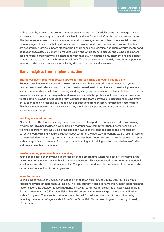underpinned by a new structure for three casework teams: two for adolescents on the edge of care who work with the young person and their family, and one for looked after children and foster carers. The teams are overseen by a social worker operations manager and each team has a social worker team manager, clinical psychologist, family support worker and youth connections worker. The teams are assisted by practice support officers who handle admin and logistics, and share a youth mentor and education specialist. Daily morning meetings allow the whole team to discuss the young people, families and foster carers they will be interacting with that day, to discuss plans, interventions and support needed, and to learn from each other in real time. This is coupled with a weekly three-hour supervision meeting of the team's casework, enabled by the reduction in overall caseloads.

### **Early insights from implementation**

### **Shared casework results in better support for professionals and young people alike**

Reduced caseloads and increased administrative support have created time to dedicate to young people. Teams feel safer and supported, with an increased level of confidence in developing relationships. The teams have daily team meetings and regular group supervision which enable them to discuss issues or cases improving the quality of decisions and ability for professionals such as youth workers to take action. In addition, because every member of the team is involved in discussions around every child, each is able to respond to urgent issues or questions from children, families and foster carers. This has already resulted in families saying they feel better supported and more confident in their ability to access help.

#### **Instilling a shared culture**

All members of the team, including foster carers, have taken part in a compulsory, intensive training programme. This has included a week training together as a team rather than different specialties training separately. However, Ealing has also been aware of the need to balance this emphasis on collective work with individuals' anxieties about whether the new way of working would result in loss of professional identity. Getting the right mix of cases has been important, so that each team holds cases with a range of support needs. This helps shared learning and training, and utilises a balance of skills and time across team members.

#### **Involving young people in decision-making**

Young people have been involved in the design of the programme wherever possible, including in the recruitment of key posts, which has been very successful. This has focused recruitment on emotional intelligence and ability to build relationships. The plan is to continue this involvement in aspects of the delivery and evaluation of the programme.

#### **Value for money**

Ealing aims to reduce the number of looked after children from 400 to 280 by 2018/19. This would represent savings of more than £5 million. The local authority plans to halve the number residential and foster placements outside the local authority by 2018/19, representing savings of nearly £6.5 million. For an investment of £5.16 million, Ealing has the potential to make savings of more than £11 million within four years. There are further measures planned for reducing the cost of the workforce by reducing the number of agency staff from 55 to 37 by 2018/19, representing a cost saving of nearly £1.3 million.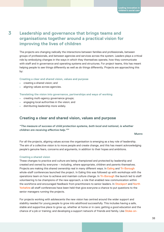**3**

### **Leadership and governance that brings teams and organisations together around a practical vision for improving the lives of children**

The projects are changing radically the interactions between families and professionals, between groups of professionals, and between agencies and services across the system. Leaders plays a critical role by embodying changes in the ways in which they themselves operate, how they communicate with staff and in governance and operating systems and structures. For project teams, this has meant helping people to *see* things differently as well as *do* things differently. Projects are approaching this by:

### **Creating a clear and shared vision, values and purpose**

- creating a shared vision; and
- aligning values across agencies.

#### **Translating the vision into governance, partnerships and ways of working**

- creating multi-agency governance groups;
- engaging local authorities in the vision; and
- distributing leadership more widely.

### **Creating a clear and shared vision, values and purpose**

### *"The measure of success of child protection systems, both local and national, is whether children are receiving effective help."34*

### **Munro** Munro (Marco Munro Munro Munro Munro Munro Munro Munro Munro Munro Munro Munro Munro Munro Munro Munro Munro Munro Munro Munro Munro Munro Munro Munro Munro Munro Munro Munro Munro Munro Munro Munro Munro Munro Mun

For all the projects, aligning values across the organisation is emerging as a key role of leadership. The aim of a collective vision is to move people and create change, and this has meant acknowledging people's genuine fears, concerns and arguments, in addition to their hopes and ambitions.

### **Creating a shared vision**

These changes to practice and culture are being championed and protected by leadership and created and owned by everyone – including, where appropriate, children and parents themselves. Projects are making this shared ownership real in many different ways. In Ealing and Tri-Borough whole-staff conferences launched the project. In Ealing this was followed up with workshops with the operations team on how to achieve and maintain culture change. In Tri-Borough the launch led to staff volunteering to be champions of the new approach, a role that enabled new communication within the workforce and encouraged feedback from practitioners to senior leaders. In Stockport and North Yorkshire all-staff conferences have been held that give everyone a chance to put questions to the senior managers running the projects.

For projects working with adolescents the new vision has centred around the wider support and stability needed for young people to grow into adulthood successfully. This includes having a safe, stable and supportive place to grow up, whether at home or in care; getting a good education and the chance of a job or training; and developing a support network of friends and family. Like Stoke-on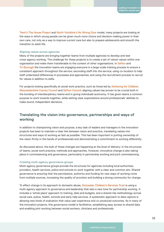Trent's The House Project and North Yorkshire's No Wrong Door model, many projects are looking at the ways in which young people can be given much more choice and decision-making power in their own care, not only as a way to improve current care but also to prepare adolescents and smooth the transition to adult life.

#### **Aligning values across agencies**

Many of the projects are bringing together teams from multiple agencies to develop and test cross-agency working. The challenge for these projects is to create a set of robust values within one organisation and make them transferable to the context of other organisations. In Sefton and Tri-Borough the innovation teams are engaging everyone in a large-scale training process to ensure a consistent approach throughout the service; seconding staff into the service; using co-location to help staff understand differences in processes and approaches; and using the recruitment process to recruit for values in addition to skills.

For projects looking specifically at social work practice, such as those led by Achieving for Children, Gloucestershire County Council and Sefton Council, aligning values has proven to be crucial both in the bonding of interdisciplinary teams and in giving individuals autonomy. It has given teams a common purpose to work towards together, while setting clear expectations around professionals' abilities to make sound, independent decisions.

### **Translating the vision into governance, partnerships and ways of working**

In addition to championing vision and purpose, a key task of leaders and managers in the innovation projects has been to maintain a clear link between vision and practice, translating values into structures and ways of working as fast as possible. This has been important in putting ownership of the vision firmly in the hands of professionals and demonstrating a commitment to working differently.

As discussed above, the bulk of these changes are happening at the level of delivery: in the structures of teams, social work practice, methods and approaches. However, innovative change is also taking place in commissioning and governance, particularly in partnership working and joint commissioning.

#### **Creating multi-agency governance groups**

Multi-agency governance groups provide the structures for agencies including local authorities, providers, health services, police and schools to work together with a clear and common aim. Shared governance is ensuring that the permissions, authority and funding for new ways of working come from multiple sources, increasing the quality of provision and building a strong community for change.

To effect change in its approach to domestic abuse, Doncaster Children's Services Trust is using a multi-agency approach to governance and leadership that sets a new tone for partnership working. It includes a 'whole place' approach to training, data and budgets, and a shared risk methodology across social care, police, health, schools and early help services. A systematic approach to data capture is allowing new kinds of evaluation that value user experience and co-produced outcomes. As in many of the innovation projects, this governance model is facilitative, establishing easy access to shared data and enabling joint working between social workers, clinicians and professionals.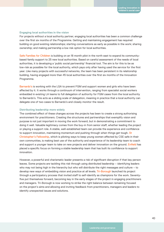### **Engaging local authorities in the vision**

For projects without a local authority partner, engaging local authorities has been a common challenge over the first six months of the Programme. Getting and maintaining engagement has required building on good existing relationships; starting conversations as early as possible in the work; sharing ownership; and making partnership a low risk option for local authorities.

Safe Families for Children is building on an 18 month pilot in the north east to expand its communitybased family support to 25 new local authorities. Based on careful assessment of the needs of local authorities, it is developing a 'public social partnership' financial tool. The aim is for this to be as low-risk as possibke for the local authority, which pays only after having used the service for the first year. Like many projects with successful networks, the team has been persistent in its relationship building, having engaged more than 45 local authorities over the first six months of the Innovation Programme.

Barnardo's is working with the LGA to prevent FGM and support women and girls who have been affected by it. It works through a continuum of intervention, ranging from specialist social workers embedded in existing LA teams to full delegation of authority for FGM cases from the local authority to Barnardo's. This acts as a sliding scale of delegation, meaning in practice that a local authority can delegate one of two cases to Barnardo's and closely monitor the result.

### **Distributing leadership more widely**

The combined effect of these changes across the projects has been to create a strong authorising environment for practitioners. Creating the structures and partnerships that exemplify vision and purpose is not just important in moving the work forward, but in demonstrating a commitment to doing it well. Valuable legitimacy comes from the buy-in from senior staff, whether leading the project or playing a support role. A stable, well-established team can provide the experience and confidence to support innovation, maintaining momentum and pushing through when things get tough. St Christopher's Fellowship, which is piloting ways to keep young women affected by CSE safe in their own communities, is making best use of the authority and experience of its leadership team to coach and support a younger team to take on new projects and deliver innovation on the ground. Enfield has placed a specific focus on forming a stable leadership team that has built its confidence to support innovation.

However, a powerful and charismatic leader presents a risk of significant disruption if that key person leaves. Some projects are tackling this risk through using distributed leadership – identifying leaders who may not being high in the hierarchy but who will distribute the right messages and culture – to develop new ways of embedding vision and practice at all levels. Tri-Borough launched its project through a participatory process that invited staff to self-identify as champions for the work. Seventyfive put themselves forward, becoming key in the early stages of the project in engaging practitioners and managers. Tri-Borough is now working to strike the right balance between remaining focused on the project's aims and allowing and inviting feedback from practitioners, managers and leaders to identify unexpected issues and solutions.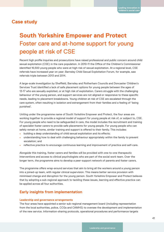### **Case study**

## **South Yorkshire Empower and Protect** Foster care and at-home support for young people at risk of CSE

Recent high profile inquiries and prosecutions have raised professional and public concern around child sexual exploitation (CSE) in the care population. In 2010-11 the Office of the Children's Commissioner identified 16,500 young people who were at high risk of sexual exploitation. At a regional level, CSE referrals have increased year on year; Barnsley Child Sexual Exploitation Forum, for example, saw referrals triple between 2013 and 2014.

A large-scale investigation by Sheffield, Barnsley and Rotherham Councils and Doncaster Children's Services Trust identified a lack of safe placement options for young people between the ages of 13-17 who are sexually exploited, or at high risk of exploitation. Carers struggle with the challenging behaviour of the young person, and support services are not aligned or responsive to these specific needs, leading to placement breakdowns. Young children at risk of CSE are escalated through the care system, often resulting in isolation and estrangement from their families and a feeling of 'being punished'.

Uniting under the programme name of South Yorkshire Empower and Protect, the four areas are working together to provide a regional model of support for young people at risk of, or subject to, CSE. For young people who need to be safeguarded in care, the model includes the recruitment and training of specialist foster carers to provide safe placements for young people. For young people who can safely remain at home, similar training and support is offered to their family. This includes:

- building a deep understanding of child sexual exploitation and its effects;
- understanding how to deal with challenging behaviour appropriately within the family to prevent escalation; and
- reflective practice to encourage continuous learning and improvement of practice and self-care.

Alongside this training, foster carers and families will be provided with one-to-one therapeutic interventions and access to clinical psychologists who are part of the social work team. Over the longer term, the programme aims to develop a peer-support network of parents and foster carers.

The programme offers wrap-around services that aim to bring all the workers around a young person into a joined-up team, with regular clinical supervision. This means better service provision with minimised change and disruption for the young person. South Yorkshire Empower and Protect believes that by adopting a sub-regional approach to tackling these issues, learning and effective practice can be applied across all four authorities.

### **Early insights from implementation**

### **Leadership and governance arrangements**

The four areas have appointed a senior sub-regional management board (including representation from the local authorities, police, CCGs and CAMHS) to oversee the development and implementation of the new service. Information-sharing protocols, operational procedures and performance targets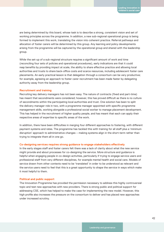are being determined by this board, whose task is to describe a strong, consistent vision and set of working principles across the programme. In addition, a new sub-regional operational group is being formed to implement this work, translating the vision into coherent practice. Referral pathways and allocation of foster carers will be determined by this group. Any learning and policy developments arising from the programme will be captured by the operational group and shared with the leadership group.

While the set-up of a sub-regional structure requires a significant amount of work and time (reconciling four sets of policies and operational procedures), early indications are that it could reap benefits by providing impact at scale, the ability to share effective practice and allowing local authorities and trusts to share back-office costs and scarce resources, including adolescent foster care placements. An early practical lesson is that delegation through a consortium can be very productive; for example, agreeing an approach to foster carer recruitment has been made faster by delegating authority away from the leadership group.

### **Recruitment and training**

Recruiting key delivery managers has not been easy. The nature of contracts (fixed and part-time) has meant that secondments were considered; however, this has proved difficult as there is no culture of secondments within the participating local authorities and trust. One solution has been to split the delivery manager role in two, with a programme manager appointed with specific programme management skills, working alongside a professional social worker to manage placement development. This has helped in the recruitment of higher quality people, and has meant that each can apply their respective areas of expertise to specific areas of the work.

In addition, there have been difficulties in merging four different approaches to fostering, with different payment systems and rates. The programme has tackled this with training for all staff plus a 'minimum disruption' approach to administrative changes – making systems align in the short-term rather than trying to integrate them all in one go.

#### **Co-designing services requires strong guidance to engage stakeholders effectively**

In the early stages staff and foster carers felt there was a lack of clarity about what the new service might provide and about processes for co-designing the service. More structure and guidance is helpful when engaging people in co-design activities, particularly if trying to engage service users and professional staff from very different disciplines, for example mental health and social care. Models of service drawn from other contexts need to be 'translated' in order to be understood as relevant and the service users need to feel that this is a great opportunity to shape the service in ways which make it most helpful to them.

### **Political and public support**

The Innovation Programme has provided the permission necessary to address this highly controversial topic and test new approaches with new providers. There is strong public and political support for addressing CSE, which has helped to make the case for implementing the new model. However, this high profile also increases the pressure on the consortium to deliver and has placed new approaches under increased scrutiny.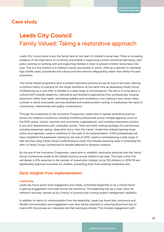### **Case study**

## **Leeds City Council** Family Valued: Taking a restorative approach

Leeds City Council aims to put the family back at the heart of children's social care. There is increasing evidence of the importance of continuity and kinship in supporting a child's emotional well-being, with policy centring on working with and supporting families in order to prevent children being taken into care. This is in the context of a children's social care system in which, often as a reaction to individual high-profile cases, procedures and culture prioritise reactive safeguarding rather than family-focused prevention.

The Family Valued programme aims to embed restorative practice across all council services, offering a common theory of practice for the whole workforce, at the same time as developing Family Group Conferencing as a core offer to families in a wide range of circumstances. The aim is to bring about a cultural shift towards respectful, restorative and facilitative approaches from professionals; towards prevention rather than repair; prioritising stability and consistency; and creating a new citizen-state contract in which local public services facilitate and enable problem-solving. It emphasises the value of connections, relationships and quality conversations.

Through the investment of the Innovation Programme, Leeds aims to spread restorative practice across the children's workforce, including frontline professionals across multiple agencies (such as the NHS, police, school, voluntary and community organisations), and including restorative practice in pre-birth assessments with vulnerable women. There are three training packages for practitioners, including awareness raising, 'deep dive' and a 'train the trainer' model that embeds learning loops within local agencies. Leeds is ambitious in the scale of its implementation: 3,000 professionals will have completed the awareness training by the end of 2015. Leeds is commissioning a wide range of new services using Family Group Conferencing at scale; this includes exploring ways of extending the offer of Family Group Conferences to families affected by domestic violence.

By the end of the Innovation Programme, Leeds aims to establish restorative practices and the Family Group Conferences model as the default practice across children's services. The hope is that this will deliver a 10% reduction in the number of looked after children (circa 125 children) in 2015/16 and significantly improved outcomes for children, preventing them from entering residential care.

### **Early insights from implementation**

### **Leadership**

Leeds has found senior level engagement and visible, committed leadership to be a critical factor in gaining engagement from staff across the workforce. The leadership has set a clear vision for children's services, backed up by a theory of practice and a strong project management capability.

In addition to clarity of communication from the leadership, Leeds has found that continuous and flexible communication and engagement over time will be important in ensuring all partners are on board with the process as it develops and that learning is shared. This includes engagement with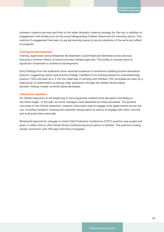domestic violence services and links to the wider domestic violence strategy for the city, in addition to engagement with bodies such as the Local Safeguarding Children Board and the voluntary sector. One method of engagement has been to use partnership events to launch elements of the work and reflect on progress.

### **Training and development**

Training, supervision and professional development is prioritised and delivered across services, ensuring a common theory of practice across multiple agencies. This builds on several years of significant investment in workforce development.

Early findings from the evaluation show reported evidence of momentum-building around restorative practice, suggesting culture and practice change. Feedback from training sessions is overwhelmingly positive. FGCs are seen as a, if not the, ideal way of working with families. FGC principles are seen by a wide group of stakeholders as having wider application through the related family-based decision-making models currently being developed.

### **Ofsted and regulation**

An Ofsted inspection at the beginning of the programme created some disruption and delays in the initial stages of the plan, as senior managers were absorbed by these processes. The positive outcomes of the Ofsted inspection, however, have been used to engage more departments across the city, including transport, housing and customer facing teams as well as to engage with other councils and local authorities nationally.

Ministerial approval for changes to Initial Child Protection Conference (ICPC) practice was sought and given, to allow time to offer Family Group Conferencing as an option to families. This practice is being closely monitored, with DfE kept informed of progress.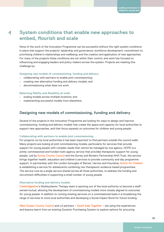### **System conditions that enable new approaches to embed, flourish and scale 4**

None of the work of the Innovation Programme can be successful without the right system conditions in place that support the projects' leadership and governance; workforce development; commitment to prioritising children's relationships and wellbeing; and the creation and application of new approaches. For many of the projects these conditions are not within their control, and work has focused on influencing and engaging leaders and policy-makers across the system. Projects are meeting this challenge by:

**Designing new models of commissioning, funding and delivery**

- collaborating with partners to enable joint commissioning;
- creating new alternative funding and delivery models; and
- decommissioning what does not work.

### **Balancing fidelity and flexibility at scale**

- scaling models across multiple locations; and
- implementing successful models from elsewhere.

### **Designing new models of commissioning, funding and delivery**

Several of the projects in the Innovation Programme are looking for ways to design and improve commissioning, funding and delivery models that create the space and capacity for local authorities to support new approaches, and that focus squarely on outcomes for children and young people.

#### **Collaborating with partners to enable joint commissioning**

For projects run by local authorities it has been important to find partners outside the council walls. Many projects are looking at joint commissioning models, particularly for services that provide support for young people with complex needs that cannot be managed by one agency. HOPE is a jointly commissioned and funded multi-agency service that provides therapeutic support for young people. Led by Surrey County Council and the Surrey and Borders Partnership NHS Trust, the service brings together health, education and children's services to provide community and day programme support. In partnership with the London boroughs of Barnet, Harrow and Hounslow, Action for Children is establishing a service for adolescents combining two therapeutic evidence-based programmes. The service runs as a single service shared across all three authorities, to address the funding and recruitment difficulties in supporting a small number of young people.

### **Alternative funding and delivery models**

Cambridgeshire's Multisystemic Therapy team is spinning out of the local authority to become a staffowned mutual, allowing the development of commissioning models more closely aligned to outcomes for young people. In addition to running existing services on a commissioned basis it is broadening the range of services to more local authorities and developing a Social Impact Bond for future funding.

West Sussex County Council and LA partners – South East Together – are using the experiences and lessons learnt from an existing Dynamic Purchasing System to explore options for procuring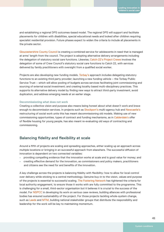and establishing a regional DPS outcomes-based model. The regional DPS will support and facilitate placements for children with disabilities, special educational needs and looked after children requiring specialist residential provision. Future phases expect to widen the criteria to include all placements in the private sector.

Gloucestershire County Council is creating a combined service for adolescents in need that is managed at arms' length from the council. The project is adopting alternative delivery arrangements including the delegation of statutory social care functions. Likewise, Catch-22's Project Crewe involves the delegation of some of Crew Council's statutory social care functions to Catch 22, with services delivered by family practitioners with oversight from a qualified social worker.

Projects are also developing new funding models. Torbay's approach includes delegating statutory functions to an existing third party provider; launching a new funding vehicle – the Torbay Public Service Trust – which will allow pooling of budgets across services facilitating joint commissioning and sourcing of external social investment; and creating locality based multi-disciplinary practices. This supports its alternative delivery model by finding new ways to attract third-party investment, avoid duplication, and address emerging needs at an earlier stage.

#### **Decommissioning what does not work**

Creating a collective vision and purpose also means being honest about what doesn't work and brave enough to decommission services. In projects such as Stockport's multi-agency hub and Newcastle's restructuring of social work units this has meant decommissioning old models. Making use of new commissioning opportunities, types of contract and funding mechanisms, as in Calderdale's offer of flexible housing for young people, has also meant re-evaluating old ways of contracting and commissioning.

### **Balancing fidelity and flexibility at scale**

Around a fifth of projects are scaling and spreading approaches, either scaling up an approach across multiple locations or bringing in an successful approach from elsewhere. The successful diffusion of innovation is dependent on two connected variables:

- providing compelling evidence that the innovation works at scale and is good value for money; and
- creating effective demand for the innovation, as commissioners and policy makers, practitioners and citizens see the need for and benefits of the innovation.

A key challenge across the projects is balancing fidelity with flexibility: how to allow for local control over delivery while sticking to a central methodology. Genuine buy-in to the vision, values and purpose of the projects is essential to successful scaling. The Fostering Network has tightened the criteria for local authority engagement, to ensure those it works with are fully committed to the programme. This is challenging for a small, third-sector organisation but it believes it is crucial to the success of the model. For NSPCC in developing its work on serious case reviews, building alliances with professional bodies has ensured sustainability of the project. For those projects tackling whole-system change, such as Leeds and MTM, building national stakeholder groups that distribute the responsibility and leadership for the work will be key to maintaining momentum.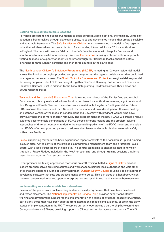### **Scaling models across multiple locations**

For those projects taking successful models to scale across multiple locations, the flexibility vs fidelity question is being tackled through developing pilots, hubs and governance models that create a scalable and adaptable framework. The Safe Families for Children team is extending its model to five regional hubs that will themselves become a platform for expanding into an additional 25 local authorities in England. The hubs will balance fidelity to the Safe Families model with bespoke features and adaptations for successful local delivery. Likewise, Cornerstone is taking a phased roll-out approach, testing its model of support for adoptive parents through four Berkshire local authorities before extending to three London boroughs and then three councils in the south east.

The North London Children's Efficiency Programme (NLCEP) is testing its 12-week residential model across five London boroughs, providing an opportunity to test the regional collaboration that could lead to a regional placements team. The South Yorkshire Empower and Protect sub-regional delivery model for young people at risk of CSE has brought together Sheffield, Barnsley, Rotherham and Doncaster Children's Services Trust in addition to the Local Safeguarding Children Boards in those areas and South Yorkshire Police.

Tavistock and Portman NHS Foundation Trust is leading the roll-out of the Family Drug and Alcohol Court model, robustly evaluated in inner London, to 11 new local authorities involving eight courts and four Designated Family Centres. It aims to create a sustainable long-term funding model for future FDACs across the country and for a National Unit to shape and drive development. It is also piloting an extended version of the model in London, Kent and Coventry with pregnant women who have previously had one or more children removed. The establishment of the new FDACs will create a robust evidence base to enable comparisons of FDACs across different regions and the problem-solving approaches of different contexts, to define the essential ingredients of the FDAC model and the value that FDACs offer in supporting parents to address their issues and enable children to remain safely within their family unit.

Pause, supporting mothers who have experienced repeat removals of their children, is up and running in seven sites. At the centre of the project is a programme management team and a National Pause Board, with a local Pause Board at each site. The central team aims to engage all staff in its vision through a 'Pause Pledge', included in the MoU for each site, and through training sessions that bring practitioners together from across the sites.

Other projects are taking approaches that focus on staff training. MTM's Signs of Safety practice leaders are themselves providing courses and workshops to partner local authorities and visit other sites that are adopting a Signs of Safety approach. Durham County Council is using a toolkit approach, developing software that sets out process management steps. This is in place of a handbook, which the team determined to be too open to interpretation and result in too much variation between sites.

#### **Implementing successful models from elsewhere**

Several of the projects are implementing evidence-based programmes that have been developed and tested elsewhere. The National Implementation Service (NIS) provides expert consultancy, training and development support for the implementation of a range of evidence-based interventions, particularly those that have been adapted from international models and evidence, or are in the early stages of implementation in the UK. The service currently operates as a partnership between King's College and two NHS Trusts, providing support to 53 local authorities across the country. The NIS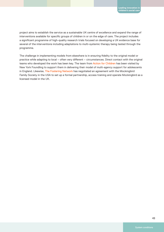project aims to establish the service as a sustainable UK centre of excellence and expand the range of interventions available for specific groups of children in or on the edge of care. The project includes a significant programme of high-quality research trials focused on developing a UK evidence base for several of the interventions including adaptations to multi-systemic therapy being tested through the programme.

The challenge in implementing models from elsewhere is in ensuring fidelity to the original model or practice while adapting to local – often very different – circumstances. Direct contact with the original teams who developed the work has been key. The team from Action for Children has been visited by New York Foundling to support them in delivering their model of multi-agency support for adolescents in England. Likewise, The Fostering Network has negotiated an agreement with the Mockingbird Family Society in the USA to set up a formal partnership, access training and operate Mockingbird as a licensed model in the UK.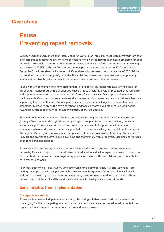### **Case study**

## **Pause** Preventing repeat removals

Between 2011 and 2012 more than 10,000 children were taken into care. Most were removed from their birth families to protect them from harm or neglect. Within these figures is an acute problem of repeat removals – removals of different children from the same families. In 2014, recurrent care proceedings were linked to 15.5% of the 46,094 mothers who appeared at court that year. In 2013 the London Borough of Hackney identified a cohort of 43 mothers who between them had a total of 205 children removed into care, an average of just under five children per woman. These women were primarily young and disadvantaged with complex emotional, health and social support needs.

Pause works with women who have experienced, or are at risk of, repeat removals of their children. Through an intense programme of support, Pause aims to break the cycle of repeated child removals and supports women to create a more positive future for themselves. Developed and tested in Hackney with 29 women, Pause intervenes at a moment in which a woman has no children in her care, supporting her to identify and stabilise personal chaos, face her challenges and realise her personal ambitions. In order to break the cycle of repeat pregnancies, women volunteer to use long-acting reversible contraception for the 18 month duration of the programme.

Pause offers intense therapeutic, practical and behavioural support. A practitioner manages the journey of each woman through a bespoke package of support from including housing, domestic violence support, sexual and reproductive health, drug and alcohol support, employment and education. When ready, women are also supported to access counselling and mental health services. Throughout the programme, women are supported to take part in activities that range from creative (e.g. art and crafts) to active (e.g. horse riding and swimming), with all activities designed to increase confidence and self-esteem.

Pause has seen positive outcomes so far. As well as a reduction in pregnancies and successive removals, Pause also reports increased take-up of education and voluntary or paid work opportunities for its cohort. Some women have regained appropriate contact with their children, with benefits for both mother and child.

Four local authorities – Southwark, Doncaster Children's Services Trust, Hull and Newham – are testing the approach with support from Pause's National Programme Office based in Hackney. In addition to developing support materials and advice, the core team is working to understand how Pause works in different localities and the implications for taking the approach to scale.

### **Early insights from implementation**

### **Changes to workforce**

Pause has become an independent legal entity. Recruiting suitable senior staff has proven to be challenging for the participating local authorities, and across some sites has adversely affected the capacity of local teams to set up infrastructure and move forward.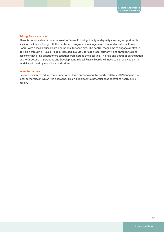### **Taking Pause to scale**

There is considerable national interest in Pause. Ensuring fidelity and quality assuring support while scaling is a key challenge. At the centre is a programme management team and a National Pause Board, with a local Pause Board operational for each site. The central team aims to engage all staff in its vision through a 'Pause Pledge', included in a MoU for each local authority, and through training sessions that bring practitioners together from across the localities. The role and depth of participation of the Director of Operations and Development in local Pause Boards will need to be reviewed as the model is adopted by more local authorities.

### **Value for money**

Pause is aiming to reduce the number of children entering care by nearly 300 by 2018/19 across the local authorities in which it is operating. This will represent a potential cost benefit of nearly £11.5 million.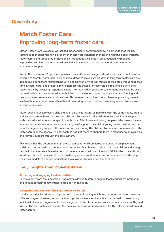### **Case study**

## **Match Foster Care** Improving long-term foster care

Match Foster Care is a social worker-led Independent Fostering Agency. It contends that the key factors in poor outcomes for looked after children are constant changes in children's social workers, foster carers and associated professionals throughout their time in care, coupled with delays in providing services that meet children's individual needs, such as therapeutic intervention or educational support.

Within the Innovation Programme, partner local authorities delegate statutory duties for looked after children to Match Foster Care. This enables Match to make sure children in long term foster care are able to build consistent relationships with a social worker who will remain at their side throughout their time in foster care. The project aims to increase the stability of each child's relationship with their foster family by providing responsive support to the child or young person without delay, and by using professionals that they are familiar with. Match social workers have more of a say over funding and can quickly secure wrap-around services. This means that children do not have long waiting times to see health, educational, mental health and mentoring professional and have easy access to bespoke advocacy provision.

Match seeks to ensure every child's time in care is as natural as possible, with the same hopes, dreams and wishes parents have for their own children. For example, all children receive additional support with their education to encourage high ambitions. All children and young people on the project have an independent advocate who can access the type of support the child or young person desires, and can report safeguarding issues to the local authority, ensuring the child is able to share concerns about the foster carers or the agency. The advocate is not just there to support them in response to crisis but as an everyday support through the care system.

This model has the potential to improve outcomes for children across the board, from placement stability to better health and educational outcomes. Match aims to show that the children and young people in its care can achieve better outcomes at a reduced cost of around 30% to the local authority. In future this could be scaled to other fostering services and to local authorities that could develop their own models of a single, consistent social worker for child and foster carers.

### **Early insights from implementation**

### **Attracting and engaging local authorities**

Early support from the Innovation Programme allowed Match to engage local authorities' interest in and to acquire their commitment to take part in the pilot.

### **Delegating services from local authorities to Match**

Local authorities had different approaches to protocol setting which meant contracts were started at different stages. However, as contracts and protocols were kept simple and attached to pre-existing Individual Placement Agreements, the delegation of statutory duties proceeded relatively smoothly and swiftly. The contracts also covered the provision of wrap-around services for the relevant children and foster carers.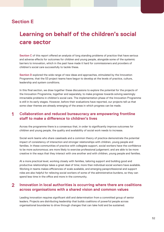### **Section E**

## **Learning on behalf of the children's social care sector**

**Section C** of this report offered an analysis of long standing problems of practice that have serious and adverse effects for outcomes for children and young people, alongside some of the systemic barriers to innovation, which in the past have made it hard for commissioners and providers of children's social care successfully to tackle these.

**Section D** explored the wide range of new ideas and approaches, stimulated by the Innovation Programme, that the 53 project teams have begun to develop at the levels of practice, culture, leadership and system conditions.

In this final section, we draw together these discussions to explore the potential for the projects of the Innovation Programme, together and separately, to make progress towards solving seemingly intractable problems in children's social care. The implementation phase of the Innovation Programme is still in its early stages. However, before their evaluations have reported, our projects tell us that some clear themes are already emerging of the areas in which progress can be made.

#### **Collaboration and reduced bureaucracy are empowering frontline staff to make a difference to children's lives 1**

Across the programme there is a consensus that, in order to significantly improve outcomes for children and young people, the quality and availability of social work needs to increase.

Social work teams who share caseloads and a common theory of practice demonstrate the potential impact of consistency of interaction and stronger relationships with children, young people and families. In these communities of practice with collegiate support, social workers have the confidence to be more autonomous; are more likely to exercise professional judgement; and are able to be more creative in the ways that they interact with one another and with children, young people and families.

At a more practical level, working closely with families, tailoring support and building good and productive relationships takes a great deal of time; more than individual social workers have available. Working in teams makes efficiencies of scale available, and emerging paraprofessional and support roles are also helpful for relieving social workers of some of the administrative burdens, so they can spend less time in the office and more in the community.

#### **Innovation in local authorities is occurring where there are coalitions across organisations with a shared vision and common values 2**

Leading innovation requires significant skill and determination from a committed group of senior leaders. Projects are distributing leadership that builds coalitions of powerful people across organisational boundaries to drive through changes that can take hold and be sustained.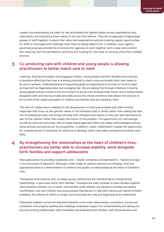Leaders are emphasising the need for well articulated and aligned values across organisations and, importantly, are embodying these values in the way they behave. They are increasingly bringing large groups of staff together to share their vision and expectations and are creating regular opportunities for staff to interrogate and challenge what they are being asked to do. In addition, multi-agency governance groups provide the structures for agencies to work together with a clear and common aim, ensuring that the permissions, authority and funding for new ways of working come from multiple sources.

#### **Co-producing care with children and young people is allowing practitioners to better match care to need 3**

Listening, sharing information and engaging children, young people and birth families more actively in decisions affecting their lives is showing potential to clarify more accurately what care needs to be and to achieve. Understanding and supporting goals and aspirations is turning out to be at least as important as diagnosing need and managing risk. We are seeing this through initiatives including young people being involved in the recruitment of social work professionals; foster carers being trained alongside staff; and sharing of data and skills across the whole workforce that allows rich pictures to be formed of the needs and assets of children and families that are owned by them.

This kind of collaboration is leading to the development of more personalised and child-centred responses that focus on the specific needs of the individual child or family rather than making the best use of existing services, and brings into play their strengths and assets so they can see themselves as part of the solution rather than simply the source of the problem. The opportunity for cost savings, as well as improved outcomes, that an asset-based approach offers are widely acknowledged and are being actively pursued across the programme. In addition, closer collaboration creates the opportunity for a shared sense of ownership for solutions to develop, which may make successful outcomes more likely.

### **By strengthening the relationships at the heart of children's lives, practitioners are better able to increase stability, work alongside birth families and support adolescents 4**

New approaches to providing residential care – respite, temporary and permanent – feature strongly in the Innovation Programme. Although a wide range of creative solutions is emerging, what the approaches share is a determination to enhance the quality of relationships at the heart of children's lives.

Therapeutic interventions such as family group conferences are contributing to strengthening relationships, in particular within birth families. Therapies are used variously to keep families together (and therefore children out of care); with families while children are placed to increase successful reunification; and with children and young people themselves to help with trauma and mental ill-health problems, the effects of which on longer-term outcomes are only just beginning to be understood.

Placement stability and all the attendant benefits come when relationships are positive, strong and consistent, and projects tackling this challenge emphasise support for understanding and taking into account existing relationships with immediate and extended birth families; with social workers and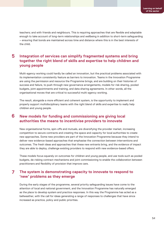teachers; and with friends and neighbours. This is requiring approaches that are flexible and adaptable enough to take account of long-term relationships and wellbeing in addition to short-term safeguarding – ensuring that bonds are maintained across time and distance where this is in the best interests of the child.

### **Integration of services can simplify fragmented systems and bring together the right blend of skills and expertise to help children and young people 5**

Multi-agency working could hardly be called an innovation, but the practical problems associated with its implementation consistently feature as barriers to innovation. Teams in the Innovation Programme are using the permission and resource the Programme brings, and are building on their histories of success and failure, to push through new governance arrangements, models for risk sharing, pooled budgets, joint appointments and training, and data sharing agreements. In other words, all the organisational moves that are critical to successful multi-agency working.

The result, alongside a more efficient and coherent system, is the opportunity to implement and properly support multidisciplinary teams with the right blend of skills and expertise to really help children and young people.

### **New models for funding and commissioning are giving local authorities the means to incentivise providers to innovate 6**

New organisational forms, spin-offs and mutuals, are diversifying the provider market, increasing competition to secure contracts and creating the space and capacity for local authorities to create new approaches. Some new providers are part of the Innovation Programme because they intend to deliver new evidence-based approaches that emphasise the connection between interventions and outcomes. The fresh ideas and approaches that these new entrants bring, and the evidence of impact they are able to deploy, challenge existing providers to respond with new evidence-based offers.

These models focus squarely on outcomes for children and young people, and use tools such as pooled budgets, de-risking contract mechanisms and joint commissioning to enable the collaboration between practitioners and flexibility of provision that improve care.

### **The system is demonstrating capacity to innovate to respond to 'new' problems as they emerge 7**

During the early stages of the programme, several priority safeguarding issues have come to the attention of local and national government, and the Innovation Programme has naturally emerged as the place to develop system and practice responses. In this way the Programme has acted as a bellweather, with the call for ideas generating a range of responses to challenges that have since increased as practice, policy and public priorities.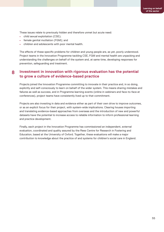These issues relate to previously hidden and therefore unmet but acute need:

- child sexual exploitation (CSE);
- female genital mutilation (FGM); and
- children and adolescents with poor mental health.

The effects of these specific problems for children and young people are, as yet, poorly understood. Project teams in the Innovation Programme tackling CSE, FGM and mental health are unpacking and understanding the challenges on behalf of the system and, at same time, developing responses for prevention, safeguarding and treatment.

#### **Investment in innovation with rigorous evaluation has the potential to grow a culture of evidence-based practice 8**

Projects joined the Innovation Programme committing to innovate in their practice and, in so doing, explicitly and self-consciously to learn on behalf of the wider system. This means sharing mistakes and failures as well as success, and in Programme learning events (online in webinars and face-to-face at conferences), project teams have consistently lived up to that commitment.

Projects are also investing in data and evidence either as part of their own drive to improve outcomes, or as an explicit focus for their project, with system-wide implications. Clearing houses importing and translating evidence-based approaches from overseas and the introduction of new and powerful datasets have the potential to increase access to reliable information to inform professional learning and practice development.

Finally, each project in the Innovation Programme has commissioned an independent, external evaluation, coordinated and quality assured by the Rees Centre for Research in Fostering and Education, based at the University of Oxford. Together, these evaluations will make a major contribution to knowledge about the practice of and systems for children's social care in England.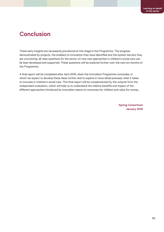## **Conclusion**

These early insights are necessarily provisional at this stage in the Programme. The progress demonstrated by projects, the enablers to innovation they have identified and the system barriers they are uncovering, all raise questions for the sector on how new approaches in children's social care can be best developed and supported. These questions will be explored further over the next six months of the Programme.

A final report will be completed after April 2016, when the Innovation Programme concludes, in which we expect to develop these ideas further and to explore in more detail precisely what it takes to innovate in children's social care. This final report will be complemented by the outputs from the independent evaluation, which will help us to understand the relative benefits and impact of the different approaches introduced by innovation teams on outcomes for children and value for money.

> **Spring Consortium January 2016**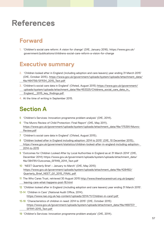## **References**

## **Forward**

1. 'Children's social care reform: A vision for change' (DfE, January 2016). https://www.gov.uk/ government/publications/childrens-social-care-reform-a-vision-for-change

## **Executive summary**

- 2. 'Children looked after in England (including adoption and care leavers) year ending 31 March 2015' (DfE, October 2015). https://www.gov.uk/government/uploads/system/uploads/attachment\_data/ file/464756/SFR34\_2015\_Text.pdf
- 3. 'Children's social care data in England' (Ofsted, August 2015) https://www.gov.uk/government/ uploads/system/uploads/attachment\_data/file/453325/Childrens\_social\_care\_data\_in\_ England\_\_2015\_key\_findings.pdf
- 4. At the time of writing in September 2015.

## **Section A**

- 5 'Children's Services: Innovation programme problem analysis' (DfE, 2014).
- 6 'The Munro Review of Child Protection: Final Report' (DfE, May 2011). https://www.gov.uk/government/uploads/system/uploads/attachment\_data/file/175391/Munro- Review.pdf
- 7 'Children's social care data in England' (Ofsted, August 2015).
- 8 'Children looked after in England including adoption: 2014 to 2015' (DfE, 10 December 2015). https://www.gov.uk/government/statistics/children-looked-after-in-england-including-adoption- 2014-to-2015
- 9 'Outcomes for Children Looked After by Local Authorities in England as at 31 March 2014' (DfE, December 2014) https://www.gov.uk/government/uploads/system/uploads/attachment\_data/ file/384781/Outcomes\_SFR49\_2014\_Text.pdf
- 10 'NEET Quarterly Brief January to March' (DfE, May 2015) https://www.gov.uk/government/uploads/system/uploads/attachment\_data/file/428492/ Quarterly\_Brief\_NEET\_Q1\_2015\_FINAL.pdf
- 11 The Who Cares Trust, retrieved 30 August 2015 http://www.thewhocarestrust.org.uk/pages/ leaving-care-what-happens-post-16.html
- 12 'Children looked after in England (including adoption and care leavers) year ending 31 March 2015'.
- 13-14 'Children in Care' (National Audit Office, 2014). https://www.nao.org.uk/wp-content/uploads/2014/11/Children-in-care1.pdf
- 15-18 'Characteristics of children in need: 2014 to 2015' (DfE, October 2015) https://www.gov.uk/government/uploads/system/uploads/attachment\_data/file/469737/ SFR41-2015\_Text.pdf
- 19 'Children's Services: Innovation programme problem analysis' (DfE, 2014).